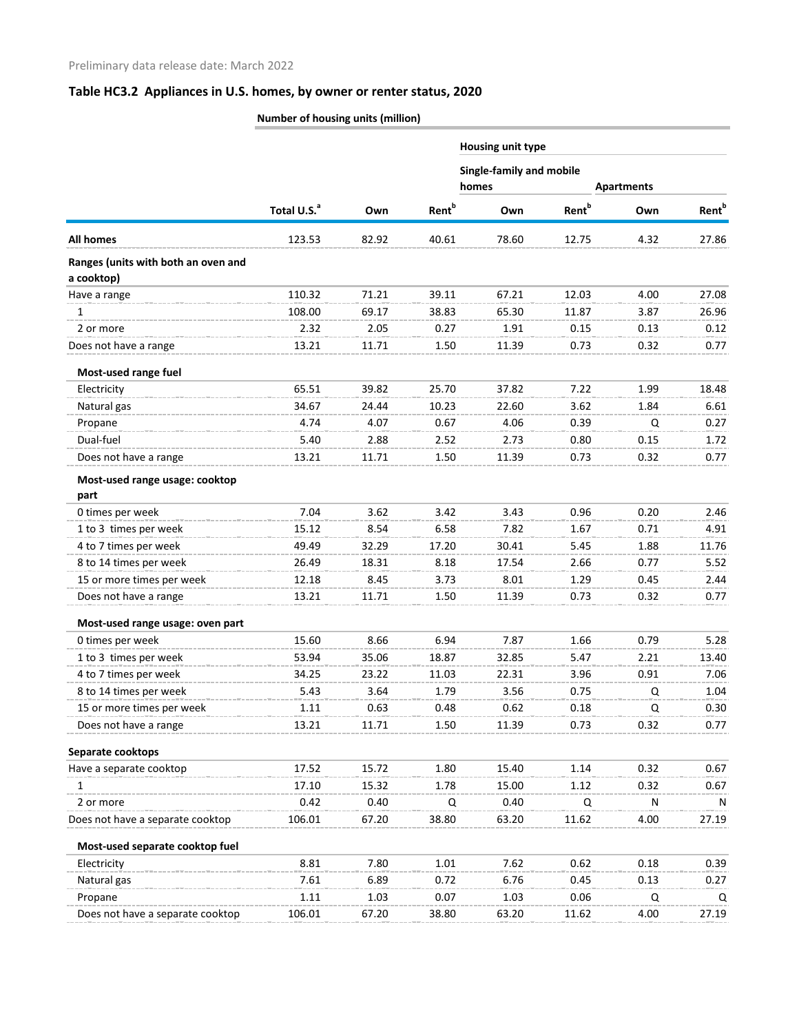| Number of housing units (million) |  |  |  |  |
|-----------------------------------|--|--|--|--|
|-----------------------------------|--|--|--|--|

|                                        |                         |       |                          | Housing unit type                 |                          |      |                          |  |
|----------------------------------------|-------------------------|-------|--------------------------|-----------------------------------|--------------------------|------|--------------------------|--|
|                                        |                         |       |                          | Single-family and mobile<br>homes | <b>Apartments</b>        |      |                          |  |
|                                        | Total U.S. <sup>a</sup> | Own   | <b>Rent</b> <sup>b</sup> | Own                               | <b>Rent</b> <sup>b</sup> | Own  | <b>Rent</b> <sup>b</sup> |  |
| <b>All homes</b>                       | 123.53                  | 82.92 | 40.61                    | 78.60                             | 12.75                    | 4.32 | 27.86                    |  |
| Ranges (units with both an oven and    |                         |       |                          |                                   |                          |      |                          |  |
| a cooktop)                             |                         |       |                          |                                   |                          |      |                          |  |
| Have a range                           | 110.32                  | 71.21 | 39.11                    | 67.21                             | 12.03                    | 4.00 | 27.08                    |  |
| 1                                      | 108.00                  | 69.17 | 38.83                    | 65.30                             | 11.87                    | 3.87 | 26.96                    |  |
| 2 or more                              | 2.32                    | 2.05  | 0.27                     | 1.91                              | 0.15                     | 0.13 | 0.12                     |  |
| Does not have a range                  | 13.21                   | 11.71 | 1.50                     | 11.39                             | 0.73                     | 0.32 | 0.77                     |  |
| Most-used range fuel                   |                         |       |                          |                                   |                          |      |                          |  |
| Electricity                            | 65.51                   | 39.82 | 25.70                    | 37.82                             | 7.22                     | 1.99 | 18.48                    |  |
| Natural gas                            | 34.67                   | 24.44 | 10.23                    | 22.60                             | 3.62                     | 1.84 | 6.61                     |  |
| Propane                                | 4.74                    | 4.07  | 0.67                     | 4.06                              | 0.39                     | Q    | 0.27                     |  |
| Dual-fuel                              | 5.40                    | 2.88  | 2.52                     | 2.73                              | 0.80                     | 0.15 | 1.72                     |  |
| Does not have a range                  | 13.21                   | 11.71 | 1.50                     | 11.39                             | 0.73                     | 0.32 | 0.77                     |  |
| Most-used range usage: cooktop<br>part |                         |       |                          |                                   |                          |      |                          |  |
| 0 times per week                       | 7.04                    | 3.62  | 3.42                     | 3.43                              | 0.96                     | 0.20 | 2.46                     |  |
| 1 to 3 times per week                  | 15.12                   | 8.54  | 6.58                     | 7.82                              | 1.67                     | 0.71 | 4.91                     |  |
| 4 to 7 times per week                  | 49.49                   | 32.29 | 17.20                    | 30.41                             | 5.45                     | 1.88 | 11.76                    |  |
| 8 to 14 times per week                 | 26.49                   | 18.31 | 8.18                     | 17.54                             | 2.66                     | 0.77 | 5.52                     |  |
| 15 or more times per week              | 12.18                   | 8.45  | 3.73                     | 8.01                              | 1.29                     | 0.45 | 2.44                     |  |
| Does not have a range                  | 13.21                   | 11.71 | 1.50                     | 11.39                             | 0.73                     | 0.32 | 0.77                     |  |
| Most-used range usage: oven part       |                         |       |                          |                                   |                          |      |                          |  |
| 0 times per week                       | 15.60                   | 8.66  | 6.94                     | 7.87                              | 1.66                     | 0.79 | 5.28                     |  |
| 1 to 3 times per week                  | 53.94                   | 35.06 | 18.87                    | 32.85                             | 5.47                     | 2.21 | 13.40                    |  |
| 4 to 7 times per week                  | 34.25                   | 23.22 | 11.03                    | 22.31                             | 3.96                     | 0.91 | 7.06                     |  |
| 8 to 14 times per week                 | 5.43                    | 3.64  | 1.79                     | 3.56                              | 0.75                     | Q    | 1.04                     |  |
| 15 or more times per week              | 1.11                    | 0.63  | 0.48                     | 0.62                              | 0.18                     | Q    | 0.30                     |  |
| Does not have a range                  | 13.21                   | 11.71 | 1.50                     | 11.39                             | 0.73                     | 0.32 | 0.77                     |  |
| Separate cooktops                      |                         |       |                          |                                   |                          |      |                          |  |
| Have a separate cooktop                | 17.52                   | 15.72 | 1.80                     | 15.40                             | 1.14                     | 0.32 | 0.67                     |  |
| 1                                      | 17.10                   | 15.32 | 1.78                     | 15.00                             | 1.12                     | 0.32 | 0.67                     |  |
| 2 or more                              | 0.42                    | 0.40  | Q                        | 0.40                              | Q                        | N    | N                        |  |
| Does not have a separate cooktop       | 106.01                  | 67.20 | 38.80                    | 63.20                             | 11.62                    | 4.00 | 27.19                    |  |
| Most-used separate cooktop fuel        |                         |       |                          |                                   |                          |      |                          |  |
| Electricity                            | 8.81                    | 7.80  | 1.01                     | 7.62                              | 0.62                     | 0.18 | 0.39                     |  |
| Natural gas                            | 7.61                    | 6.89  | 0.72                     | 6.76                              | 0.45                     | 0.13 | 0.27                     |  |
| Propane                                | 1.11                    | 1.03  | 0.07                     | 1.03                              | 0.06                     | Q    | Q                        |  |
| Does not have a separate cooktop       | 106.01                  | 67.20 | 38.80                    | 63.20                             | 11.62                    | 4.00 | 27.19                    |  |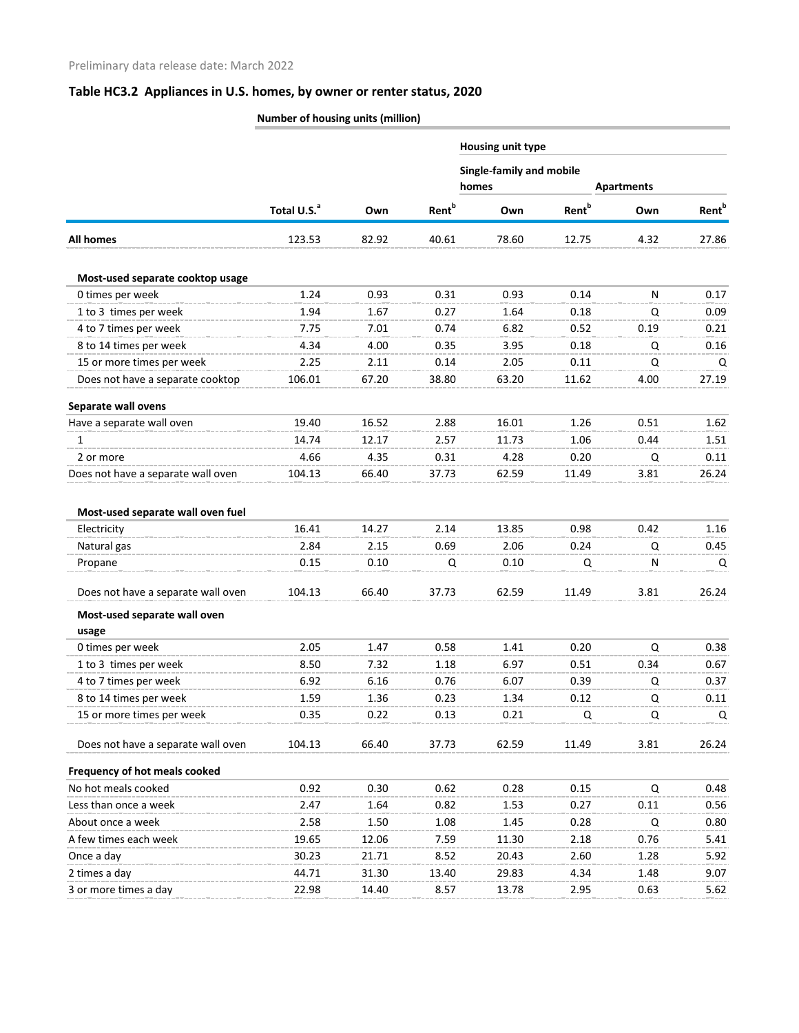|                                    | <b>Number of nousing units (million)</b> |       |                          |                          |                          |                   |                          |  |
|------------------------------------|------------------------------------------|-------|--------------------------|--------------------------|--------------------------|-------------------|--------------------------|--|
|                                    |                                          |       |                          | Housing unit type        |                          |                   |                          |  |
|                                    |                                          |       |                          | Single-family and mobile |                          |                   |                          |  |
|                                    |                                          |       |                          | homes                    |                          | <b>Apartments</b> |                          |  |
|                                    | Total U.S. <sup>a</sup>                  | Own   | <b>Rent</b> <sup>b</sup> | Own                      | <b>Rent</b> <sup>b</sup> | Own               | <b>Rent</b> <sup>b</sup> |  |
| <b>All homes</b>                   | 123.53                                   | 82.92 | 40.61                    | 78.60                    | 12.75                    | 4.32              | 27.86                    |  |
| Most-used separate cooktop usage   |                                          |       |                          |                          |                          |                   |                          |  |
| 0 times per week                   | 1.24                                     | 0.93  | 0.31                     | 0.93                     | 0.14                     | N                 | 0.17                     |  |
| 1 to 3 times per week              | 1.94                                     | 1.67  | 0.27                     | 1.64                     | 0.18                     | Q                 | 0.09                     |  |
| 4 to 7 times per week              | 7.75                                     | 7.01  | 0.74                     | 6.82                     | 0.52                     | 0.19              | 0.21                     |  |
| 8 to 14 times per week             | 4.34                                     | 4.00  | 0.35                     | 3.95                     | 0.18                     | Q                 | 0.16                     |  |
| 15 or more times per week          | 2.25                                     | 2.11  | 0.14                     | 2.05                     | 0.11                     | $\Omega$          | Q                        |  |
| Does not have a separate cooktop   | 106.01                                   | 67.20 | 38.80                    | 63.20                    | 11.62                    | 4.00              | 27.19                    |  |
| Separate wall ovens                |                                          |       |                          |                          |                          |                   |                          |  |
| Have a separate wall oven          | 19.40                                    | 16.52 | 2.88                     | 16.01                    | 1.26                     | 0.51              | 1.62                     |  |
| 1                                  | 14.74                                    | 12.17 | 2.57                     | 11.73                    | 1.06                     | 0.44              | 1.51                     |  |
| 2 or more                          | 4.66                                     | 4.35  | 0.31                     | 4.28                     | 0.20                     | Q                 | 0.11                     |  |
| Does not have a separate wall oven | 104.13                                   | 66.40 | 37.73                    | 62.59                    | 11.49                    | 3.81              | 26.24                    |  |
|                                    |                                          |       |                          |                          |                          |                   |                          |  |
| Most-used separate wall oven fuel  |                                          |       |                          |                          |                          |                   |                          |  |
| Electricity                        | 16.41                                    | 14.27 | 2.14                     | 13.85                    | 0.98                     | 0.42              | 1.16                     |  |
| Natural gas                        | 2.84                                     | 2.15  | 0.69                     | 2.06                     | 0.24                     | Q                 | 0.45                     |  |
| Propane                            | 0.15                                     | 0.10  | Q                        | 0.10                     | Q                        | N                 | Q                        |  |
| Does not have a separate wall oven | 104.13                                   | 66.40 | 37.73                    | 62.59                    | 11.49                    | 3.81              | 26.24                    |  |
| Most-used separate wall oven       |                                          |       |                          |                          |                          |                   |                          |  |
| usage                              |                                          |       |                          |                          |                          |                   |                          |  |
| 0 times per week                   | 2.05                                     | 1.47  | 0.58                     | 1.41                     | 0.20                     | Q                 | 0.38                     |  |
| 1 to 3 times per week              | 8.50                                     | 7.32  | 1.18                     | 6.97                     | 0.51                     | 0.34              | 0.67                     |  |
| 4 to 7 times per week              | 6.92                                     | 6.16  | 0.76                     | 6.07                     | 0.39                     | Q                 | 0.37                     |  |
| 8 to 14 times per week             | 1.59                                     | 1.36  | 0.23                     | 1.34                     | 0.12                     | Q                 | 0.11                     |  |
| 15 or more times per week          | 0.35                                     | 0.22  | 0.13                     | 0.21                     | Q                        | Q                 | Q                        |  |
| Does not have a separate wall oven | 104.13                                   | 66.40 | 37.73                    | 62.59                    | 11.49                    | 3.81              | 26.24                    |  |
| Frequency of hot meals cooked      |                                          |       |                          |                          |                          |                   |                          |  |
| No hot meals cooked                | 0.92                                     | 0.30  | 0.62                     | 0.28                     | 0.15                     | Q                 | 0.48                     |  |
| Less than once a week              | 2.47                                     | 1.64  | 0.82                     | 1.53                     | 0.27                     | 0.11              | 0.56                     |  |
| About once a week                  | 2.58                                     | 1.50  | 1.08                     | 1.45                     | 0.28                     | Q                 | 0.80                     |  |
| A few times each week              | 19.65                                    | 12.06 | 7.59                     | 11.30                    | 2.18                     | 0.76              | 5.41                     |  |
| Once a day                         | 30.23                                    | 21.71 | 8.52                     | 20.43                    | 2.60                     | 1.28              | 5.92                     |  |
| 2 times a day                      | 44.71                                    | 31.30 | 13.40                    | 29.83                    | 4.34                     | 1.48              | 9.07                     |  |
| 3 or more times a day              | 22.98                                    | 14.40 | 8.57                     | 13.78                    | 2.95                     | 0.63              | 5.62                     |  |
|                                    |                                          |       |                          |                          |                          |                   |                          |  |

**Number of housing units (million)**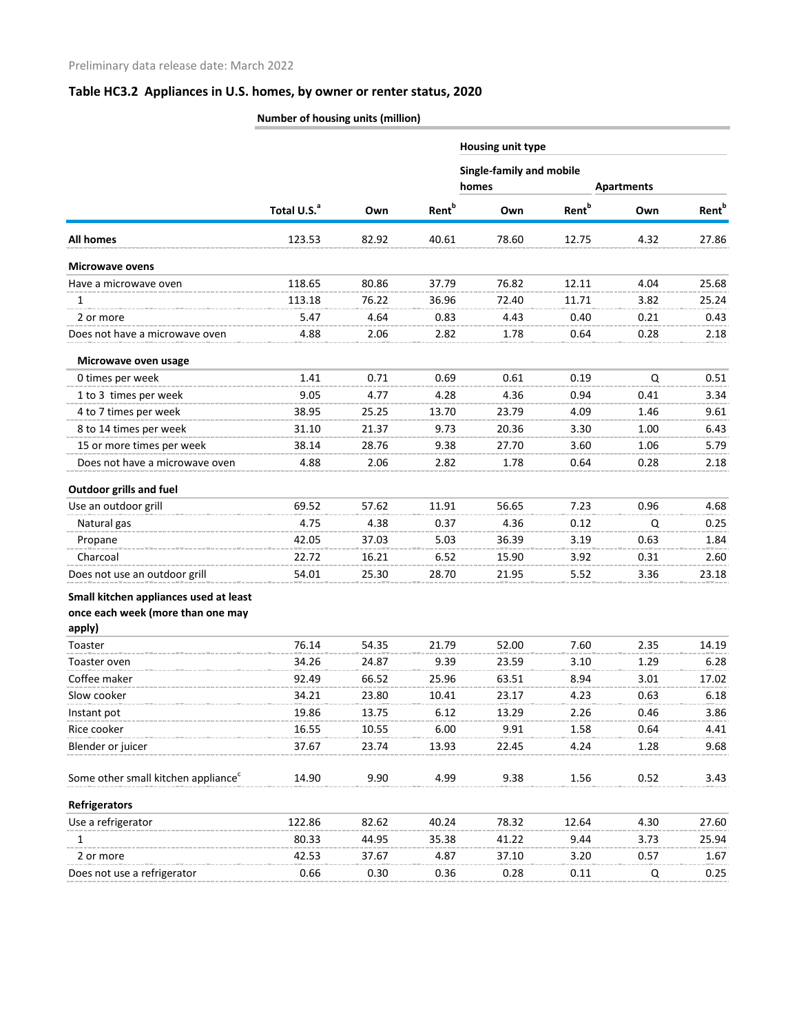|                                                 |                         |       |                          | Housing unit type                 |                          |                   |                          |  |
|-------------------------------------------------|-------------------------|-------|--------------------------|-----------------------------------|--------------------------|-------------------|--------------------------|--|
|                                                 |                         |       |                          | Single-family and mobile<br>homes |                          | <b>Apartments</b> |                          |  |
|                                                 | Total U.S. <sup>a</sup> | Own   | <b>Rent</b> <sup>b</sup> | Own                               | <b>Rent</b> <sup>b</sup> | Own               | <b>Rent</b> <sup>b</sup> |  |
| <b>All homes</b>                                | 123.53                  | 82.92 | 40.61                    | 78.60                             | 12.75                    | 4.32              | 27.86                    |  |
| <b>Microwave ovens</b>                          |                         |       |                          |                                   |                          |                   |                          |  |
| Have a microwave oven                           | 118.65                  | 80.86 | 37.79                    | 76.82                             | 12.11                    | 4.04              | 25.68                    |  |
| 1                                               | 113.18                  | 76.22 | 36.96                    | 72.40                             | 11.71                    | 3.82              | 25.24                    |  |
| 2 or more                                       | 5.47                    | 4.64  | 0.83                     | 4.43                              | 0.40                     | 0.21              | 0.43                     |  |
| Does not have a microwave oven                  | 4.88                    | 2.06  | 2.82                     | 1.78                              | 0.64                     | 0.28              | 2.18                     |  |
| Microwave oven usage                            |                         |       |                          |                                   |                          |                   |                          |  |
| 0 times per week                                | 1.41                    | 0.71  | 0.69                     | 0.61                              | 0.19                     | Q                 | 0.51                     |  |
| 1 to 3 times per week                           | 9.05                    | 4.77  | 4.28                     | 4.36                              | 0.94                     | 0.41              | 3.34                     |  |
| 4 to 7 times per week                           | 38.95                   | 25.25 | 13.70                    | 23.79                             | 4.09                     | 1.46              | 9.61                     |  |
| 8 to 14 times per week                          | 31.10                   | 21.37 | 9.73                     | 20.36                             | 3.30                     | 1.00              | 6.43                     |  |
| 15 or more times per week                       | 38.14                   | 28.76 | 9.38                     | 27.70                             | 3.60                     | 1.06              | 5.79                     |  |
| Does not have a microwave oven                  | 4.88                    | 2.06  | 2.82                     | 1.78                              | 0.64                     | 0.28              | 2.18                     |  |
| <b>Outdoor grills and fuel</b>                  |                         |       |                          |                                   |                          |                   |                          |  |
| Use an outdoor grill                            | 69.52                   | 57.62 | 11.91                    | 56.65                             | 7.23                     | 0.96              | 4.68                     |  |
| Natural gas                                     | 4.75                    | 4.38  | 0.37                     | 4.36                              | 0.12                     | Q                 | 0.25                     |  |
| Propane                                         | 42.05                   | 37.03 | 5.03                     | 36.39                             | 3.19                     | 0.63              | 1.84                     |  |
| Charcoal                                        | 22.72                   | 16.21 | 6.52                     | 15.90                             | 3.92                     | 0.31              | 2.60                     |  |
| Does not use an outdoor grill                   | 54.01                   | 25.30 | 28.70                    | 21.95                             | 5.52                     | 3.36              | 23.18                    |  |
| Small kitchen appliances used at least          |                         |       |                          |                                   |                          |                   |                          |  |
| once each week (more than one may               |                         |       |                          |                                   |                          |                   |                          |  |
| apply)                                          |                         |       |                          |                                   |                          |                   |                          |  |
| Toaster                                         | 76.14                   | 54.35 | 21.79                    | 52.00                             | 7.60                     | 2.35              | 14.19                    |  |
| Toaster oven                                    | 34.26                   | 24.87 | 9.39                     | 23.59                             | 3.10                     | 1.29              | 6.28                     |  |
| Coffee maker                                    | 92.49                   | 66.52 | 25.96                    | 63.51                             | 8.94                     | 3.01              | 17.02                    |  |
| Slow cooker                                     | 34.21                   | 23.80 | 10.41                    | 23.17                             | 4.23                     | 0.63              | 6.18                     |  |
| Instant pot                                     | 19.86                   | 13.75 | 6.12                     | 13.29                             | 2.26                     | 0.46              | 3.86                     |  |
| Rice cooker                                     | 16.55                   | 10.55 | 6.00                     | 9.91                              | 1.58                     | 0.64              | 4.41                     |  |
| Blender or juicer                               | 37.67                   | 23.74 | 13.93                    | 22.45                             | 4.24                     | 1.28              | 9.68                     |  |
| Some other small kitchen appliance <sup>c</sup> | 14.90                   | 9.90  | 4.99                     | 9.38                              | 1.56                     | 0.52              | 3.43                     |  |
| <b>Refrigerators</b>                            |                         |       |                          |                                   |                          |                   |                          |  |
| Use a refrigerator                              | 122.86                  | 82.62 | 40.24                    | 78.32                             | 12.64                    | 4.30              | 27.60                    |  |
| 1                                               | 80.33                   | 44.95 | 35.38                    | 41.22                             | 9.44                     | 3.73              | 25.94                    |  |
| 2 or more                                       | 42.53                   | 37.67 | 4.87                     | 37.10                             | 3.20                     | 0.57              | 1.67                     |  |
| Does not use a refrigerator                     | 0.66                    | 0.30  | 0.36                     | 0.28                              | 0.11                     | Q                 | 0.25                     |  |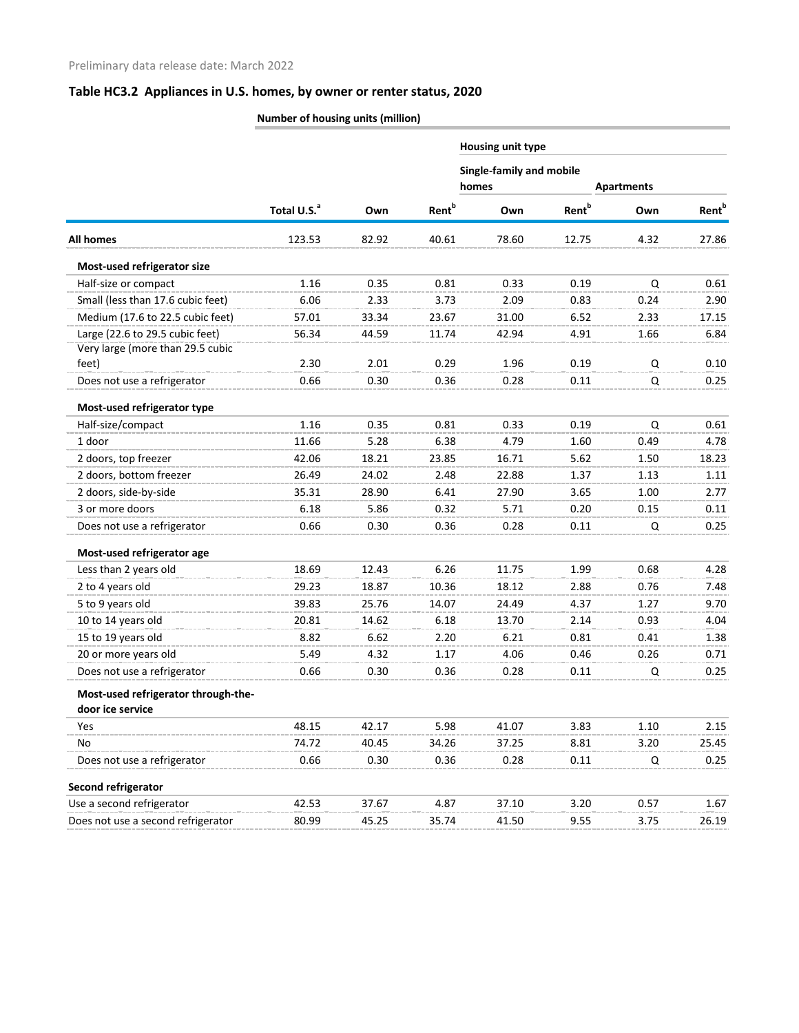|                                                         |                         |       |                          | Housing unit type                 |                          |                   |                          |  |
|---------------------------------------------------------|-------------------------|-------|--------------------------|-----------------------------------|--------------------------|-------------------|--------------------------|--|
|                                                         |                         |       |                          | Single-family and mobile<br>homes |                          | <b>Apartments</b> |                          |  |
|                                                         | Total U.S. <sup>a</sup> | Own   | <b>Rent</b> <sup>b</sup> | Own                               | <b>Rent</b> <sup>b</sup> | Own               | <b>Rent</b> <sup>b</sup> |  |
| <b>All homes</b>                                        | 123.53                  | 82.92 | 40.61                    | 78.60                             | 12.75                    | 4.32              | 27.86                    |  |
| Most-used refrigerator size                             |                         |       |                          |                                   |                          |                   |                          |  |
| Half-size or compact                                    | 1.16                    | 0.35  | 0.81                     | 0.33                              | 0.19                     | Q                 | 0.61                     |  |
| Small (less than 17.6 cubic feet)                       | 6.06                    | 2.33  | 3.73                     | 2.09                              | 0.83                     | 0.24              | 2.90                     |  |
| Medium (17.6 to 22.5 cubic feet)                        | 57.01                   | 33.34 | 23.67                    | 31.00                             | 6.52                     | 2.33              | 17.15                    |  |
| Large (22.6 to 29.5 cubic feet)                         | 56.34                   | 44.59 | 11.74                    | 42.94                             | 4.91                     | 1.66              | 6.84                     |  |
| Very large (more than 29.5 cubic                        |                         |       |                          |                                   |                          |                   |                          |  |
| feet)                                                   | 2.30                    | 2.01  | 0.29                     | 1.96                              | 0.19                     | Q                 | 0.10                     |  |
| Does not use a refrigerator                             | 0.66                    | 0.30  | 0.36                     | 0.28                              | 0.11                     | Q                 | 0.25                     |  |
| Most-used refrigerator type                             |                         |       |                          |                                   |                          |                   |                          |  |
| Half-size/compact                                       | 1.16                    | 0.35  | 0.81                     | 0.33                              | 0.19                     | Q                 | 0.61                     |  |
| 1 door                                                  | 11.66                   | 5.28  | 6.38                     | 4.79                              | 1.60                     | 0.49              | 4.78                     |  |
| 2 doors, top freezer                                    | 42.06                   | 18.21 | 23.85                    | 16.71                             | 5.62                     | 1.50              | 18.23                    |  |
| 2 doors, bottom freezer                                 | 26.49                   | 24.02 | 2.48                     | 22.88                             | 1.37                     | 1.13              | 1.11                     |  |
| 2 doors, side-by-side                                   | 35.31                   | 28.90 | 6.41                     | 27.90                             | 3.65                     | 1.00              | 2.77                     |  |
| 3 or more doors                                         | 6.18                    | 5.86  | 0.32                     | 5.71                              | 0.20                     | 0.15              | 0.11                     |  |
| Does not use a refrigerator                             | 0.66                    | 0.30  | 0.36                     | 0.28                              | 0.11                     | Q                 | 0.25                     |  |
| Most-used refrigerator age                              |                         |       |                          |                                   |                          |                   |                          |  |
| Less than 2 years old                                   | 18.69                   | 12.43 | 6.26                     | 11.75                             | 1.99                     | 0.68              | 4.28                     |  |
| 2 to 4 years old                                        | 29.23                   | 18.87 | 10.36                    | 18.12                             | 2.88                     | 0.76              | 7.48                     |  |
| 5 to 9 years old                                        | 39.83                   | 25.76 | 14.07                    | 24.49                             | 4.37                     | 1.27              | 9.70                     |  |
| 10 to 14 years old                                      | 20.81                   | 14.62 | 6.18                     | 13.70                             | 2.14                     | 0.93              | 4.04                     |  |
| 15 to 19 years old                                      | 8.82                    | 6.62  | 2.20                     | 6.21                              | 0.81                     | 0.41              | 1.38                     |  |
| 20 or more years old                                    | 5.49                    | 4.32  | 1.17                     | 4.06                              | 0.46                     | 0.26              | 0.71                     |  |
| Does not use a refrigerator                             | 0.66                    | 0.30  | 0.36                     | 0.28                              | 0.11                     | $\mathsf Q$       | 0.25                     |  |
| Most-used refrigerator through-the-<br>door ice service |                         |       |                          |                                   |                          |                   |                          |  |
| Yes                                                     | 48.15                   | 42.17 | 5.98                     | 41.07                             | 3.83                     | 1.10              | 2.15                     |  |
| No                                                      | 74.72                   | 40.45 | 34.26                    | 37.25                             | 8.81                     | 3.20              | 25.45                    |  |
| Does not use a refrigerator                             | 0.66                    | 0.30  | 0.36                     | 0.28                              | 0.11                     | Q                 | 0.25                     |  |
| Second refrigerator                                     |                         |       |                          |                                   |                          |                   |                          |  |
| Use a second refrigerator                               | 42.53                   | 37.67 | 4.87                     | 37.10                             | 3.20                     | 0.57              | 1.67                     |  |
| Does not use a second refrigerator                      | 80.99                   | 45.25 | 35.74                    | 41.50                             | 9.55                     | 3.75              | 26.19                    |  |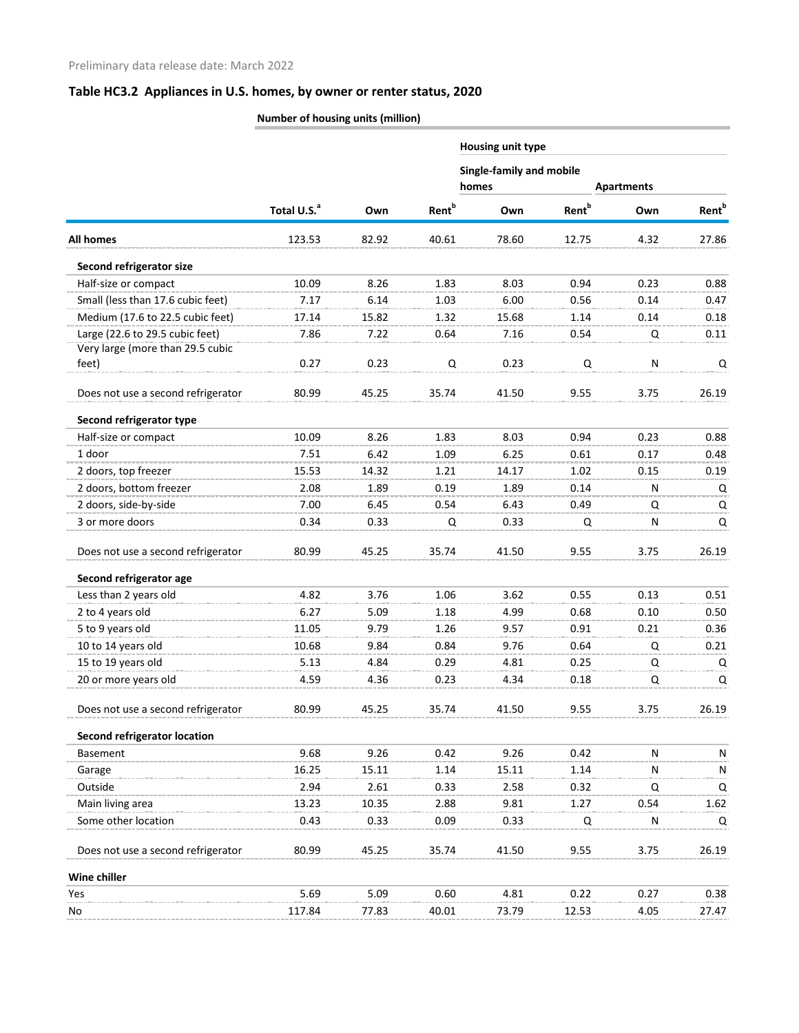**Number of housing units (million)**

|                                                                                                                                   |                         |       |                          | Housing unit type                 |                          |           |                   |  |
|-----------------------------------------------------------------------------------------------------------------------------------|-------------------------|-------|--------------------------|-----------------------------------|--------------------------|-----------|-------------------|--|
|                                                                                                                                   |                         |       |                          | Single-family and mobile<br>homes | <b>Apartments</b>        |           |                   |  |
|                                                                                                                                   | Total U.S. <sup>a</sup> | Own   | <b>Rent</b> <sup>b</sup> | Own                               | <b>Rent</b> <sup>b</sup> | Own       | Rent <sup>b</sup> |  |
| <b>All homes</b>                                                                                                                  | 123.53                  | 82.92 | 40.61                    | 78.60                             | 12.75                    | 4.32      | 27.86             |  |
| Second refrigerator size                                                                                                          |                         |       |                          |                                   |                          |           |                   |  |
| Half-size or compact                                                                                                              | 10.09                   | 8.26  | 1.83                     | 8.03                              | 0.94                     | 0.23      | 0.88              |  |
| Small (less than 17.6 cubic feet)                                                                                                 | 7.17                    | 6.14  | 1.03                     | 6.00                              | 0.56                     | 0.14      | 0.47              |  |
| Medium (17.6 to 22.5 cubic feet)                                                                                                  | 17.14                   | 15.82 | 1.32                     | 15.68                             | 1.14                     | 0.14      | 0.18              |  |
| Large (22.6 to 29.5 cubic feet)                                                                                                   | 7.86                    | 7.22  | 0.64                     | 7.16                              | 0.54                     | Q         | 0.11              |  |
| Very large (more than 29.5 cubic                                                                                                  |                         |       |                          |                                   |                          |           |                   |  |
| feet)                                                                                                                             | 0.27                    | 0.23  | Q                        | 0.23                              | Q                        | ${\sf N}$ | Q                 |  |
| Does not use a second refrigerator                                                                                                | 80.99                   | 45.25 | 35.74                    | 41.50                             | 9.55                     | 3.75      | 26.19             |  |
| Second refrigerator type                                                                                                          |                         |       |                          |                                   |                          |           |                   |  |
| Half-size or compact                                                                                                              | 10.09                   | 8.26  | 1.83                     | 8.03                              | 0.94                     | 0.23      | 0.88              |  |
| 1 door                                                                                                                            | 7.51                    | 6.42  | 1.09                     | 6.25                              | 0.61                     | 0.17      | 0.48              |  |
| 2 doors, top freezer                                                                                                              | 15.53                   | 14.32 | 1.21                     | 14.17                             | 1.02                     | 0.15      | 0.19              |  |
| 2 doors, bottom freezer                                                                                                           | 2.08                    | 1.89  | 0.19                     | 1.89                              | 0.14                     | N         | Q                 |  |
| 2 doors, side-by-side                                                                                                             | 7.00                    | 6.45  | 0.54                     | 6.43                              | 0.49                     | Q         | $\mathsf Q$       |  |
| 3 or more doors                                                                                                                   | 0.34                    | 0.33  | Q                        | 0.33                              | Q                        | N         | Q                 |  |
| Does not use a second refrigerator                                                                                                | 80.99                   | 45.25 | 35.74                    | 41.50                             | 9.55                     | 3.75      | 26.19             |  |
| Second refrigerator age                                                                                                           |                         |       |                          |                                   |                          |           |                   |  |
| Less than 2 years old                                                                                                             | 4.82                    | 3.76  | 1.06                     | 3.62                              | 0.55                     | 0.13      | 0.51              |  |
| 2 to 4 years old                                                                                                                  | 6.27                    | 5.09  | 1.18                     | 4.99                              | 0.68                     | 0.10      | 0.50              |  |
| 5 to 9 years old                                                                                                                  | 11.05                   | 9.79  | 1.26                     | 9.57                              | 0.91                     | 0.21      | 0.36              |  |
| 10 to 14 years old                                                                                                                | 10.68                   | 9.84  | 0.84                     | 9.76                              | 0.64                     | Q         | 0.21              |  |
| 15 to 19 vears old                                                                                                                | 5.13                    | 4.84  | 0.29                     | 4.81                              | 0.25                     | 0         | O                 |  |
| 20 or more years old                                                                                                              | 4.59                    | 4.36  | 0.23                     | 4.34                              | 0.18                     | Q         | Q                 |  |
| Does not use a second refrigerator                                                                                                | 80.99                   | 45.25 | 35.74                    | 41.50                             | 9.55                     | 3.75      | 26.19             |  |
| <b>Second refrigerator location</b>                                                                                               |                         |       |                          |                                   |                          |           |                   |  |
| Basement                                                                                                                          | 9.68                    | 9.26  | 0.42                     | 9.26                              | 0.42                     | N         | N                 |  |
| the first that the control of the control of the control of the control of the control of the control of the control of<br>Garage | 16.25                   | 15.11 | 1.14                     | 15.11                             | 1.14                     | N         | N                 |  |
| Outside                                                                                                                           | 2.94                    | 2.61  | 0.33                     | 2.58                              | 0.32                     | Q         | Q                 |  |
| Main living area                                                                                                                  | 13.23                   | 10.35 | 2.88                     | 9.81                              | 1.27                     | 0.54      | 1.62              |  |
| Some other location                                                                                                               | 0.43                    | 0.33  | 0.09                     | 0.33                              | Q                        | N         | Q                 |  |
| Does not use a second refrigerator                                                                                                | 80.99                   | 45.25 | 35.74                    | 41.50                             | 9.55                     | 3.75      | 26.19             |  |
| Wine chiller                                                                                                                      |                         |       |                          |                                   |                          |           |                   |  |
| Yes                                                                                                                               | 5.69                    | 5.09  | 0.60                     | 4.81                              | 0.22                     | 0.27      | 0.38              |  |
| No                                                                                                                                | 117.84                  | 77.83 | 40.01                    | 73.79                             | 12.53                    | 4.05      | 27.47             |  |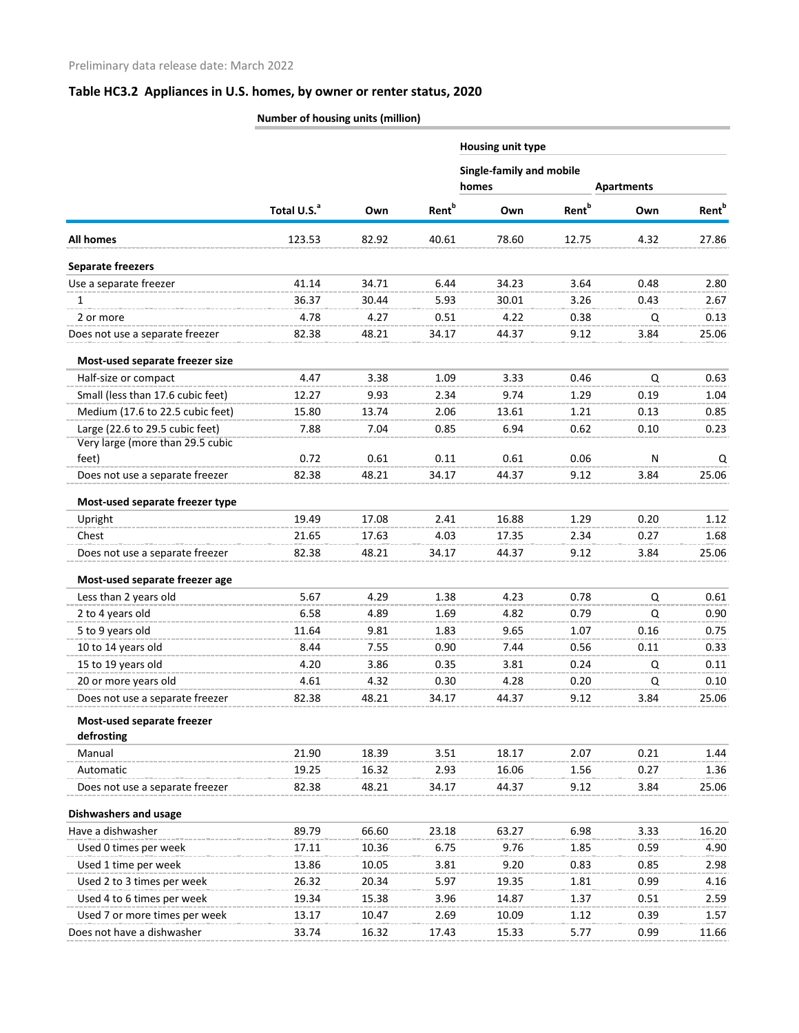|                                   |                         |       |                          | Housing unit type                 |                          |                   |                   |  |
|-----------------------------------|-------------------------|-------|--------------------------|-----------------------------------|--------------------------|-------------------|-------------------|--|
|                                   |                         |       |                          | Single-family and mobile<br>homes |                          | <b>Apartments</b> |                   |  |
|                                   | Total U.S. <sup>a</sup> | Own   | <b>Rent</b> <sup>b</sup> | Own                               | <b>Rent</b> <sup>b</sup> | Own               | Rent <sup>b</sup> |  |
| <b>All homes</b>                  | 123.53                  | 82.92 | 40.61                    | 78.60                             | 12.75                    | 4.32              | 27.86             |  |
| <b>Separate freezers</b>          |                         |       |                          |                                   |                          |                   |                   |  |
| Use a separate freezer            | 41.14                   | 34.71 | 6.44                     | 34.23                             | 3.64                     | 0.48              | 2.80              |  |
| 1                                 | 36.37                   | 30.44 | 5.93                     | 30.01                             | 3.26                     | 0.43              | 2.67              |  |
| 2 or more                         | 4.78                    | 4.27  | 0.51                     | 4.22                              | 0.38                     | Q                 | 0.13              |  |
| Does not use a separate freezer   | 82.38                   | 48.21 | 34.17                    | 44.37                             | 9.12                     | 3.84              | 25.06             |  |
| Most-used separate freezer size   |                         |       |                          |                                   |                          |                   |                   |  |
| Half-size or compact              | 4.47                    | 3.38  | 1.09                     | 3.33                              | 0.46                     | Q                 | 0.63              |  |
| Small (less than 17.6 cubic feet) | 12.27                   | 9.93  | 2.34                     | 9.74                              | 1.29                     | 0.19              | 1.04              |  |
| Medium (17.6 to 22.5 cubic feet)  | 15.80                   | 13.74 | 2.06                     | 13.61                             | 1.21                     | 0.13              | 0.85              |  |
| Large (22.6 to 29.5 cubic feet)   | 7.88                    | 7.04  | 0.85                     | 6.94                              | 0.62                     | 0.10              | 0.23              |  |
| Very large (more than 29.5 cubic  |                         |       |                          |                                   |                          |                   |                   |  |
| feet)                             | 0.72                    | 0.61  | 0.11                     | 0.61                              | 0.06                     | N                 | Q                 |  |
| Does not use a separate freezer   | 82.38                   | 48.21 | 34.17                    | 44.37                             | 9.12                     | 3.84              | 25.06             |  |
| Most-used separate freezer type   |                         |       |                          |                                   |                          |                   |                   |  |
| Upright                           | 19.49                   | 17.08 | 2.41                     | 16.88                             | 1.29                     | 0.20              | 1.12              |  |
| Chest                             | 21.65                   | 17.63 | 4.03                     | 17.35                             | 2.34                     | 0.27              | 1.68              |  |
| Does not use a separate freezer   | 82.38                   | 48.21 | 34.17                    | 44.37                             | 9.12                     | 3.84              | 25.06             |  |
| Most-used separate freezer age    |                         |       |                          |                                   |                          |                   |                   |  |
| Less than 2 years old             | 5.67                    | 4.29  | 1.38                     | 4.23                              | 0.78                     | Q                 | 0.61              |  |
| 2 to 4 years old                  | 6.58                    | 4.89  | 1.69                     | 4.82                              | 0.79                     | Q                 | 0.90              |  |
| 5 to 9 years old                  | 11.64                   | 9.81  | 1.83                     | 9.65                              | 1.07                     | 0.16              | 0.75              |  |
| 10 to 14 years old                | 8.44                    | 7.55  | 0.90                     | 7.44                              | 0.56                     | 0.11              | 0.33              |  |
| 15 to 19 years old                | 4.20                    | 3.86  | 0.35                     | 3.81                              | 0.24                     |                   | 0.11              |  |
| 20 or more years old              | 4.61                    | 4.32  | 0.30                     | 4.28                              | 0.20                     | Q                 | 0.10              |  |
| Does not use a separate freezer   | 82.38                   | 48.21 | 34.17                    | 44.37                             | 9.12                     | 3.84              | 25.06             |  |
| Most-used separate freezer        |                         |       |                          |                                   |                          |                   |                   |  |
| defrosting                        |                         |       |                          |                                   |                          |                   |                   |  |
| Manual                            | 21.90                   | 18.39 | 3.51                     | 18.17                             | 2.07                     | 0.21              | 1.44              |  |
| Automatic                         | 19.25                   | 16.32 | 2.93                     | 16.06                             | 1.56                     | 0.27              | 1.36              |  |
| Does not use a separate freezer   | 82.38                   | 48.21 | 34.17                    | 44.37                             | 9.12                     | 3.84              | 25.06             |  |
| <b>Dishwashers and usage</b>      |                         |       |                          |                                   |                          |                   |                   |  |
| Have a dishwasher                 | 89.79                   | 66.60 | 23.18                    | 63.27                             | 6.98                     | 3.33              | 16.20             |  |
| Used 0 times per week             | 17.11                   | 10.36 | 6.75                     | 9.76                              | 1.85                     | 0.59              | 4.90              |  |
| Used 1 time per week              | 13.86                   | 10.05 | 3.81                     | 9.20                              | 0.83                     | 0.85              | 2.98              |  |
| Used 2 to 3 times per week        | 26.32                   | 20.34 | 5.97                     | 19.35                             | 1.81                     | 0.99              | 4.16              |  |
| Used 4 to 6 times per week        | 19.34                   | 15.38 | 3.96                     | 14.87                             | 1.37                     | 0.51              | 2.59              |  |
| Used 7 or more times per week     | 13.17                   | 10.47 | 2.69                     | 10.09                             | 1.12                     | 0.39              | 1.57              |  |
| Does not have a dishwasher        | 33.74                   | 16.32 | 17.43                    | 15.33                             | 5.77                     | 0.99              | 11.66             |  |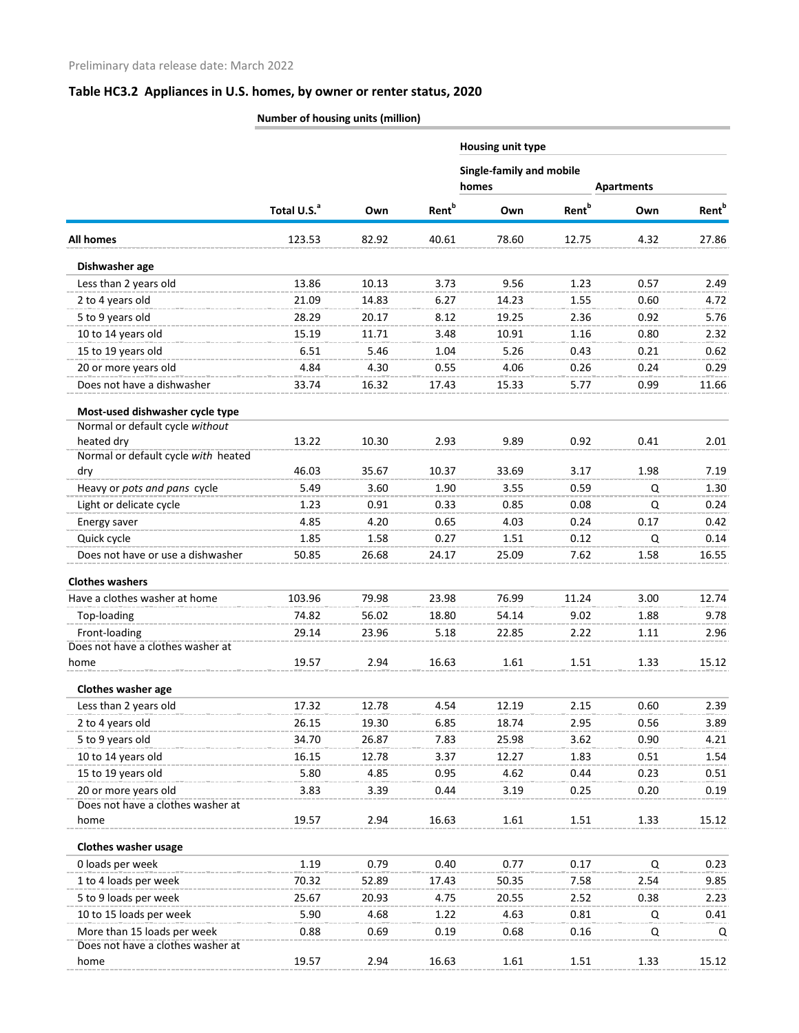**Number of housing units (million)**

|                                                   |                         |       |                          | Housing unit type                 |                          |                   |                          |  |
|---------------------------------------------------|-------------------------|-------|--------------------------|-----------------------------------|--------------------------|-------------------|--------------------------|--|
|                                                   |                         |       |                          | Single-family and mobile<br>homes |                          | <b>Apartments</b> |                          |  |
|                                                   | Total U.S. <sup>a</sup> | Own   | <b>Rent</b> <sup>b</sup> | Own                               | <b>Rent</b> <sup>b</sup> | Own               | <b>Rent</b> <sup>b</sup> |  |
| <b>All homes</b>                                  | 123.53                  | 82.92 | 40.61                    | 78.60                             | 12.75                    | 4.32              | 27.86                    |  |
| Dishwasher age                                    |                         |       |                          |                                   |                          |                   |                          |  |
| Less than 2 years old                             | 13.86                   | 10.13 | 3.73                     | 9.56                              | 1.23                     | 0.57              | 2.49                     |  |
| 2 to 4 years old                                  | 21.09                   | 14.83 | 6.27                     | 14.23                             | 1.55                     | 0.60              | 4.72                     |  |
| 5 to 9 years old                                  | 28.29                   | 20.17 | 8.12                     | 19.25                             | 2.36                     | 0.92              | 5.76                     |  |
| 10 to 14 years old                                | 15.19                   | 11.71 | 3.48                     | 10.91                             | 1.16                     | 0.80              | 2.32                     |  |
| 15 to 19 years old                                | 6.51                    | 5.46  | 1.04                     | 5.26                              | 0.43                     | 0.21              | 0.62                     |  |
| 20 or more years old                              | 4.84                    | 4.30  | 0.55                     | 4.06                              | 0.26                     | 0.24              | 0.29                     |  |
| Does not have a dishwasher                        | 33.74                   | 16.32 | 17.43                    | 15.33                             | 5.77                     | 0.99              | 11.66                    |  |
| Most-used dishwasher cycle type                   |                         |       |                          |                                   |                          |                   |                          |  |
| Normal or default cycle without                   |                         |       |                          |                                   |                          |                   |                          |  |
| heated dry<br>Normal or default cycle with heated | 13.22                   | 10.30 | 2.93                     | 9.89                              | 0.92                     | 0.41              | 2.01                     |  |
| dry                                               | 46.03                   | 35.67 | 10.37                    | 33.69                             | 3.17                     | 1.98              | 7.19                     |  |
| Heavy or pots and pans cycle                      | 5.49                    | 3.60  | 1.90                     | 3.55                              | 0.59                     | Q                 | 1.30                     |  |
| Light or delicate cycle                           | 1.23                    | 0.91  | 0.33                     | 0.85                              | 0.08                     | Q                 | 0.24                     |  |
| Energy saver                                      | 4.85                    | 4.20  | 0.65                     | 4.03                              | 0.24                     | 0.17              | 0.42                     |  |
| Quick cycle                                       | 1.85                    | 1.58  | 0.27                     | 1.51                              | 0.12                     | Q                 | 0.14                     |  |
| Does not have or use a dishwasher                 | 50.85                   | 26.68 | 24.17                    | 25.09                             | 7.62                     | 1.58              | 16.55                    |  |
| <b>Clothes washers</b>                            |                         |       |                          |                                   |                          |                   |                          |  |
| Have a clothes washer at home                     | 103.96                  | 79.98 | 23.98                    | 76.99                             | 11.24                    | 3.00              | 12.74                    |  |
| Top-loading                                       | 74.82                   | 56.02 | 18.80                    | 54.14                             | 9.02                     | 1.88              | 9.78                     |  |
| Front-loading                                     | 29.14                   | 23.96 | 5.18                     | 22.85                             | 2.22                     | 1.11              | 2.96                     |  |
| Does not have a clothes washer at                 |                         |       |                          |                                   |                          |                   |                          |  |
| home                                              | 19.57                   | 2.94  | 16.63                    | 1.61                              | 1.51                     | 1.33              | 15.12                    |  |
| <b>Clothes washer age</b>                         |                         |       |                          |                                   |                          |                   |                          |  |
| Less than 2 years old                             | 17.32                   | 12.78 | 4.54                     | 12.19                             | 2.15                     | 0.60              | 2.39                     |  |
| 2 to 4 years old                                  | 26.15                   | 19.30 | 6.85                     | 18.74                             | 2.95                     | 0.56              | 3.89                     |  |
| 5 to 9 years old                                  | 34.70                   | 26.87 | 7.83                     | 25.98                             | 3.62                     | 0.90              | 4.21                     |  |
| 10 to 14 years old                                | 16.15                   | 12.78 | 3.37                     | 12.27                             | 1.83                     | 0.51              | 1.54                     |  |
| 15 to 19 years old                                | 5.80                    | 4.85  | 0.95                     | 4.62                              | 0.44                     | 0.23              | 0.51                     |  |
| 20 or more years old                              | 3.83                    | 3.39  | 0.44                     | 3.19                              | 0.25                     | 0.20              | 0.19                     |  |
| Does not have a clothes washer at                 |                         |       |                          |                                   |                          |                   |                          |  |
| home                                              | 19.57                   | 2.94  | 16.63                    | 1.61                              | 1.51                     | 1.33              | 15.12                    |  |
| <b>Clothes washer usage</b>                       |                         |       |                          |                                   |                          |                   |                          |  |
| 0 loads per week                                  | 1.19                    | 0.79  | 0.40                     | 0.77                              | 0.17                     | Q                 | 0.23                     |  |
| 1 to 4 loads per week                             | 70.32                   | 52.89 | 17.43                    | 50.35                             | 7.58                     | 2.54              | 9.85                     |  |
| 5 to 9 loads per week                             | 25.67                   | 20.93 | 4.75                     | 20.55                             | 2.52                     | 0.38              | 2.23                     |  |
| 10 to 15 loads per week                           | 5.90                    | 4.68  | 1.22                     | 4.63                              | 0.81                     | Q                 | 0.41                     |  |
| More than 15 loads per week                       | 0.88                    | 0.69  | 0.19                     | 0.68                              | 0.16                     | Q                 | Q                        |  |
| Does not have a clothes washer at                 |                         |       |                          |                                   |                          |                   |                          |  |
| home                                              | 19.57                   | 2.94  | 16.63                    | 1.61                              | 1.51                     | 1.33              | 15.12                    |  |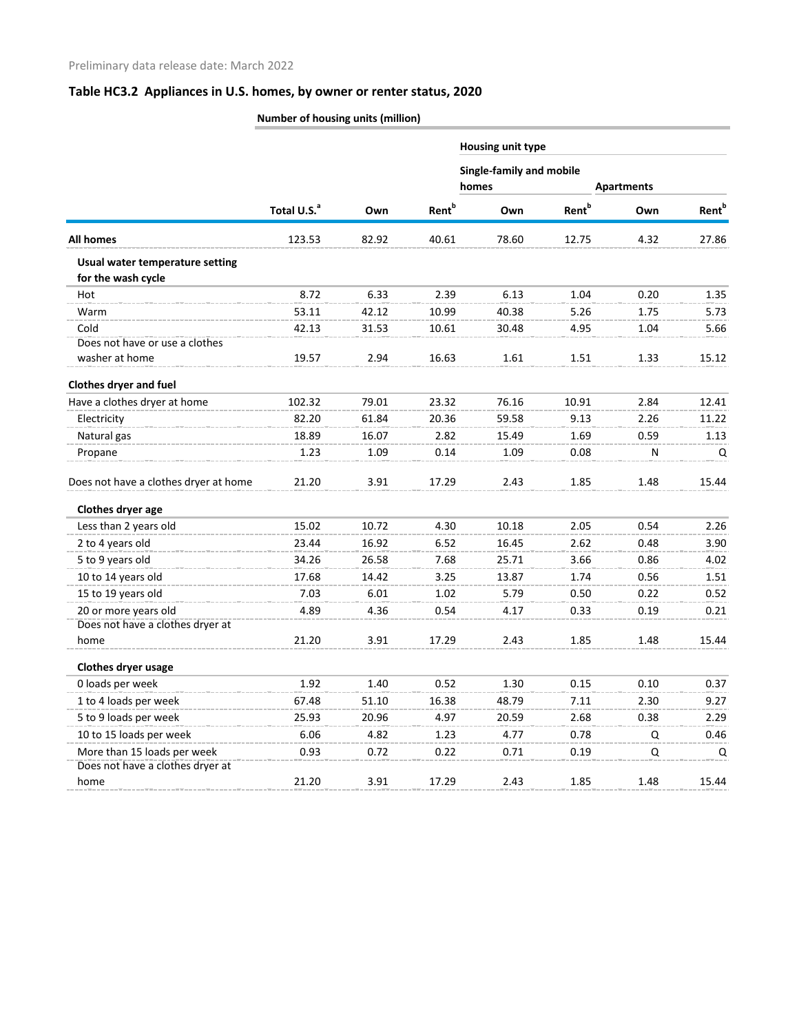|  | Number of housing units (million) |  |  |
|--|-----------------------------------|--|--|
|--|-----------------------------------|--|--|

|                                                       |                         |       | <b>Rent</b> <sup>b</sup> | Housing unit type                 |                          |                   |                          |  |
|-------------------------------------------------------|-------------------------|-------|--------------------------|-----------------------------------|--------------------------|-------------------|--------------------------|--|
|                                                       |                         |       |                          | Single-family and mobile<br>homes |                          | <b>Apartments</b> |                          |  |
|                                                       | Total U.S. <sup>a</sup> | Own   |                          | Own                               | <b>Rent</b> <sup>b</sup> | Own               | <b>Rent</b> <sup>b</sup> |  |
| <b>All homes</b>                                      | 123.53                  | 82.92 | 40.61                    | 78.60                             | 12.75                    | 4.32              | 27.86                    |  |
| Usual water temperature setting<br>for the wash cycle |                         |       |                          |                                   |                          |                   |                          |  |
| Hot                                                   | 8.72                    | 6.33  | 2.39                     | 6.13                              | 1.04                     | 0.20              | 1.35                     |  |
| Warm                                                  | 53.11                   | 42.12 | 10.99                    | 40.38                             | 5.26                     | 1.75              | 5.73                     |  |
| Cold                                                  | 42.13                   | 31.53 | 10.61                    | 30.48                             | 4.95                     | 1.04              | 5.66                     |  |
| Does not have or use a clothes                        |                         |       |                          |                                   |                          |                   |                          |  |
| washer at home                                        | 19.57                   | 2.94  | 16.63                    | 1.61                              | 1.51                     | 1.33              | 15.12                    |  |
| Clothes dryer and fuel                                |                         |       |                          |                                   |                          |                   |                          |  |
| Have a clothes dryer at home                          | 102.32                  | 79.01 | 23.32                    | 76.16                             | 10.91                    | 2.84              | 12.41                    |  |
| Electricity                                           | 82.20                   | 61.84 | 20.36                    | 59.58                             | 9.13                     | 2.26              | 11.22                    |  |
| Natural gas                                           | 18.89                   | 16.07 | 2.82                     | 15.49                             | 1.69                     | 0.59              | 1.13                     |  |
| Propane                                               | 1.23                    | 1.09  | 0.14                     | 1.09                              | 0.08                     | N                 | Q                        |  |
| Does not have a clothes dryer at home                 | 21.20                   | 3.91  | 17.29                    | 2.43                              | 1.85                     | 1.48              | 15.44                    |  |
| Clothes dryer age                                     |                         |       |                          |                                   |                          |                   |                          |  |
| Less than 2 years old                                 | 15.02                   | 10.72 | 4.30                     | 10.18                             | 2.05                     | 0.54              | 2.26                     |  |
| 2 to 4 years old                                      | 23.44                   | 16.92 | 6.52                     | 16.45                             | 2.62                     | 0.48              | 3.90                     |  |
| 5 to 9 years old                                      | 34.26                   | 26.58 | 7.68                     | 25.71                             | 3.66                     | 0.86              | 4.02                     |  |
| 10 to 14 years old                                    | 17.68                   | 14.42 | 3.25                     | 13.87                             | 1.74                     | 0.56              | 1.51                     |  |
| 15 to 19 years old                                    | 7.03                    | 6.01  | 1.02                     | 5.79                              | 0.50                     | 0.22              | 0.52                     |  |
| 20 or more years old                                  | 4.89                    | 4.36  | 0.54                     | 4.17                              | 0.33                     | 0.19              | 0.21                     |  |
| Does not have a clothes dryer at                      |                         |       |                          |                                   |                          |                   |                          |  |
| home                                                  | 21.20                   | 3.91  | 17.29                    | 2.43                              | 1.85                     | 1.48              | 15.44                    |  |
| Clothes dryer usage                                   |                         |       |                          |                                   |                          |                   |                          |  |
| 0 loads per week                                      | 1.92                    | 1.40  | 0.52                     | 1.30                              | 0.15                     | 0.10              | 0.37                     |  |
| 1 to 4 loads per week                                 | 67.48                   | 51.10 | 16.38                    | 48.79                             | 7.11                     | 2.30              | 9.27                     |  |
| 5 to 9 loads per week                                 | 25.93                   | 20.96 | 4.97                     | 20.59                             | 2.68                     | 0.38              | 2.29                     |  |
| 10 to 15 loads per week                               | 6.06                    | 4.82  | 1.23                     | 4.77                              | 0.78                     | Q                 | 0.46                     |  |
| More than 15 loads per week                           | 0.93                    | 0.72  | 0.22                     | 0.71                              | 0.19                     | Q                 | Q                        |  |
| Does not have a clothes dryer at                      |                         |       |                          |                                   |                          |                   |                          |  |
| home                                                  | 21.20                   | 3.91  | 17.29                    | 2.43                              | 1.85                     | 1.48              | 15.44                    |  |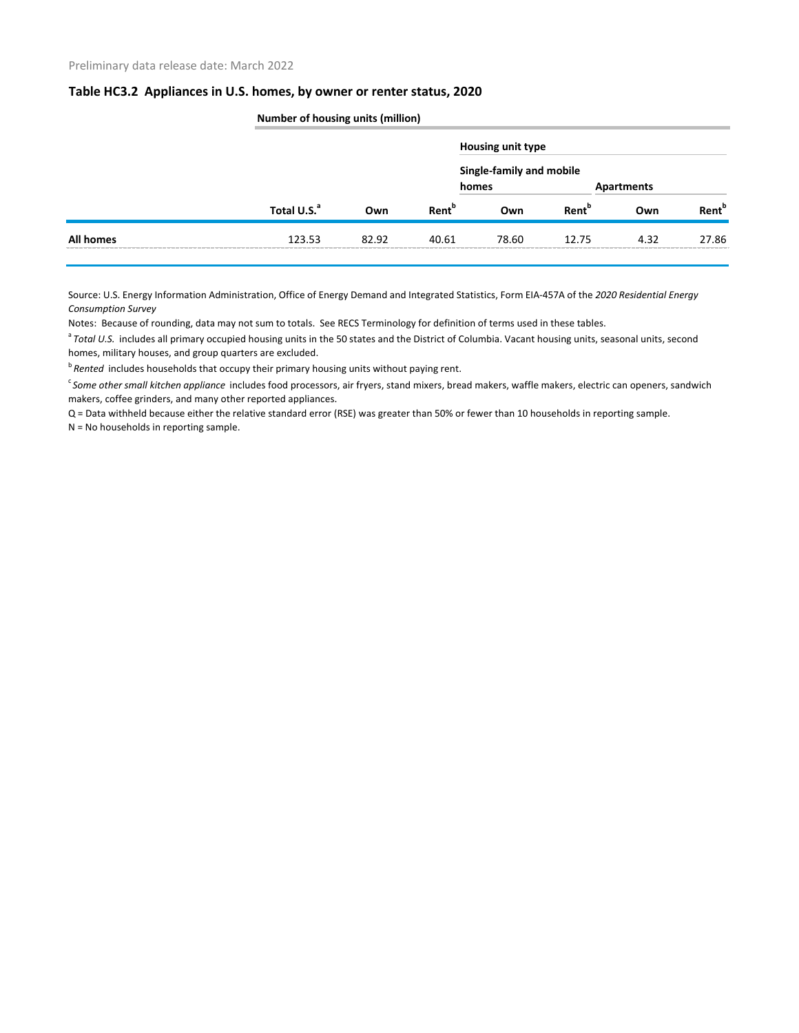|                  | <b>Number of housing units (million)</b> |       |                          |                                   |                          |                   |                          |  |
|------------------|------------------------------------------|-------|--------------------------|-----------------------------------|--------------------------|-------------------|--------------------------|--|
|                  | Total U.S. <sup>a</sup>                  |       | <b>Rent</b> <sup>b</sup> | Housing unit type                 |                          |                   |                          |  |
|                  |                                          |       |                          | Single-family and mobile<br>homes |                          | <b>Apartments</b> |                          |  |
|                  |                                          | Own   |                          | Own                               | <b>Rent</b> <sup>b</sup> | Own               | <b>Rent</b> <sup>b</sup> |  |
| <b>All homes</b> | 123.53                                   | 82.92 | 40.61                    | 78.60                             | 12.75                    | 4.32              | 27.86                    |  |

Source: U.S. Energy Information Administration, Office of Energy Demand and Integrated Statistics, Form EIA-457A of the *2020 Residential Energy* 

Notes: Because of rounding, data may not sum to totals. See RECS Terminology for definition of terms used in these tables.

<sup>a</sup> Total U.S. includes all primary occupied housing units in the 50 states and the District of Columbia. Vacant housing units, seasonal units, second homes, military houses, and group quarters are excluded.

b<sup>b</sup> Rented includes households that occupy their primary housing units without paying rent.

<sup>c</sup>*Some other small kitchen appliance* includes food processors, air fryers, stand mixers, bread makers, waffle makers, electric can openers, sandwich makers, coffee grinders, and many other reported appliances.

Q = Data withheld because either the relative standard error (RSE) was greater than 50% or fewer than 10 households in reporting sample.

N = No households in reporting sample.

*Consumption Survey*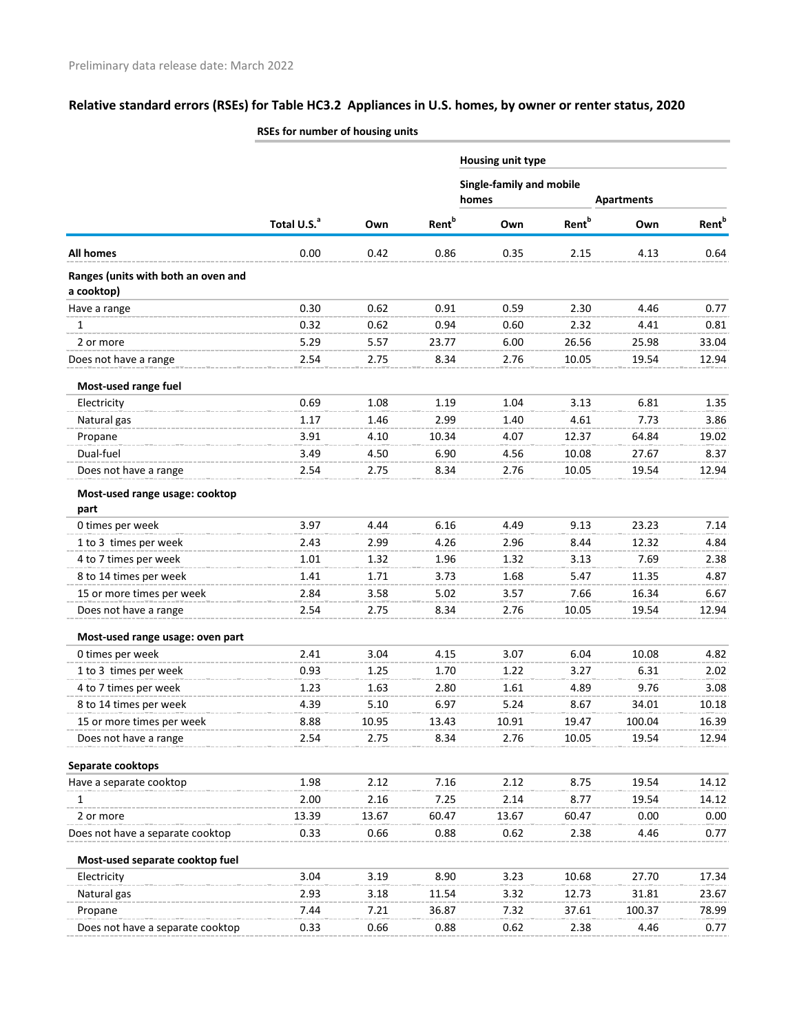|                                                   |                         |       |                          | Housing unit type                 |                          |                   |                          |
|---------------------------------------------------|-------------------------|-------|--------------------------|-----------------------------------|--------------------------|-------------------|--------------------------|
|                                                   |                         |       |                          | Single-family and mobile<br>homes |                          | <b>Apartments</b> |                          |
|                                                   | Total U.S. <sup>a</sup> | Own   | <b>Rent</b> <sup>b</sup> | Own                               | <b>Rent</b> <sup>b</sup> | Own               | <b>Rent</b> <sup>b</sup> |
| <b>All homes</b>                                  | 0.00                    | 0.42  | 0.86                     | 0.35                              | 2.15                     | 4.13              | 0.64                     |
| Ranges (units with both an oven and<br>a cooktop) |                         |       |                          |                                   |                          |                   |                          |
| Have a range                                      | 0.30                    | 0.62  | 0.91                     | 0.59                              | 2.30                     | 4.46              | 0.77                     |
| 1                                                 | 0.32                    | 0.62  | 0.94                     | 0.60                              | 2.32                     | 4.41              | 0.81                     |
| 2 or more                                         | 5.29                    | 5.57  | 23.77                    | 6.00                              | 26.56                    | 25.98             | 33.04                    |
| Does not have a range                             | 2.54                    | 2.75  | 8.34                     | 2.76                              | 10.05                    | 19.54             | 12.94                    |
| Most-used range fuel                              |                         |       |                          |                                   |                          |                   |                          |
| Electricity                                       | 0.69                    | 1.08  | 1.19                     | 1.04                              | 3.13                     | 6.81              | 1.35                     |
| Natural gas                                       | 1.17                    | 1.46  | 2.99                     | 1.40                              | 4.61                     | 7.73              | 3.86                     |
| Propane                                           | 3.91                    | 4.10  | 10.34                    | 4.07                              | 12.37                    | 64.84             | 19.02                    |
| Dual-fuel                                         | 3.49                    | 4.50  | 6.90                     | 4.56                              | 10.08                    | 27.67             | 8.37                     |
| Does not have a range                             | 2.54                    | 2.75  | 8.34                     | 2.76                              | 10.05                    | 19.54             | 12.94                    |
| Most-used range usage: cooktop<br>part            |                         |       |                          |                                   |                          |                   |                          |
| 0 times per week                                  | 3.97                    | 4.44  | 6.16                     | 4.49                              | 9.13                     | 23.23             | 7.14                     |
| 1 to 3 times per week                             | 2.43                    | 2.99  | 4.26                     | 2.96                              | 8.44                     | 12.32             | 4.84                     |
| 4 to 7 times per week                             | 1.01                    | 1.32  | 1.96                     | 1.32                              | 3.13                     | 7.69              | 2.38                     |
| 8 to 14 times per week                            | 1.41                    | 1.71  | 3.73                     | 1.68                              | 5.47                     | 11.35             | 4.87                     |
| 15 or more times per week                         | 2.84                    | 3.58  | 5.02                     | 3.57                              | 7.66                     | 16.34             | 6.67                     |
| Does not have a range                             | 2.54                    | 2.75  | 8.34                     | 2.76                              | 10.05                    | 19.54             | 12.94                    |
| Most-used range usage: oven part                  |                         |       |                          |                                   |                          |                   |                          |
| 0 times per week                                  | 2.41                    | 3.04  | 4.15                     | 3.07                              | 6.04                     | 10.08             | 4.82                     |
| 1 to 3 times per week                             | 0.93                    | 1.25  | 1.70                     | 1.22                              | 3.27                     | 6.31              | 2.02                     |
| 4 to 7 times per week                             | 1.23                    | 1.63  | 2.80                     | 1.61                              | 4.89                     | 9.76              | 3.08                     |
| 8 to 14 times per week                            | 4.39                    | 5.10  | 6.97                     | 5.24                              | 8.67                     | 34.01             | 10.18                    |
| 15 or more times per week                         | 8.88                    | 10.95 | 13.43                    | 10.91                             | 19.47                    | 100.04            | 16.39                    |
| Does not have a range                             | 2.54                    | 2.75  | 8.34                     | 2.76                              | 10.05                    | 19.54             | 12.94                    |
| Separate cooktops                                 |                         |       |                          |                                   |                          |                   |                          |
| Have a separate cooktop                           | 1.98                    | 2.12  | 7.16                     | 2.12                              | 8.75                     | 19.54             | 14.12                    |
| 1                                                 | 2.00                    | 2.16  | 7.25                     | 2.14                              | 8.77                     | 19.54             | 14.12                    |
| 2 or more                                         | 13.39                   | 13.67 | 60.47                    | 13.67                             | 60.47                    | 0.00              | 0.00                     |
| Does not have a separate cooktop                  | 0.33                    | 0.66  | 0.88                     | 0.62                              | 2.38                     | 4.46              | 0.77                     |
| Most-used separate cooktop fuel                   |                         |       |                          |                                   |                          |                   |                          |
| Electricity                                       | 3.04                    | 3.19  | 8.90                     | 3.23                              | 10.68                    | 27.70             | 17.34                    |
| Natural gas                                       | 2.93                    | 3.18  | 11.54                    | 3.32                              | 12.73                    | 31.81             | 23.67                    |
| Propane                                           | 7.44                    | 7.21  | 36.87                    | 7.32                              | 37.61                    | 100.37            | 78.99                    |
| Does not have a separate cooktop                  | 0.33                    | 0.66  | 0.88                     | 0.62                              | 2.38                     | 4.46              | 0.77                     |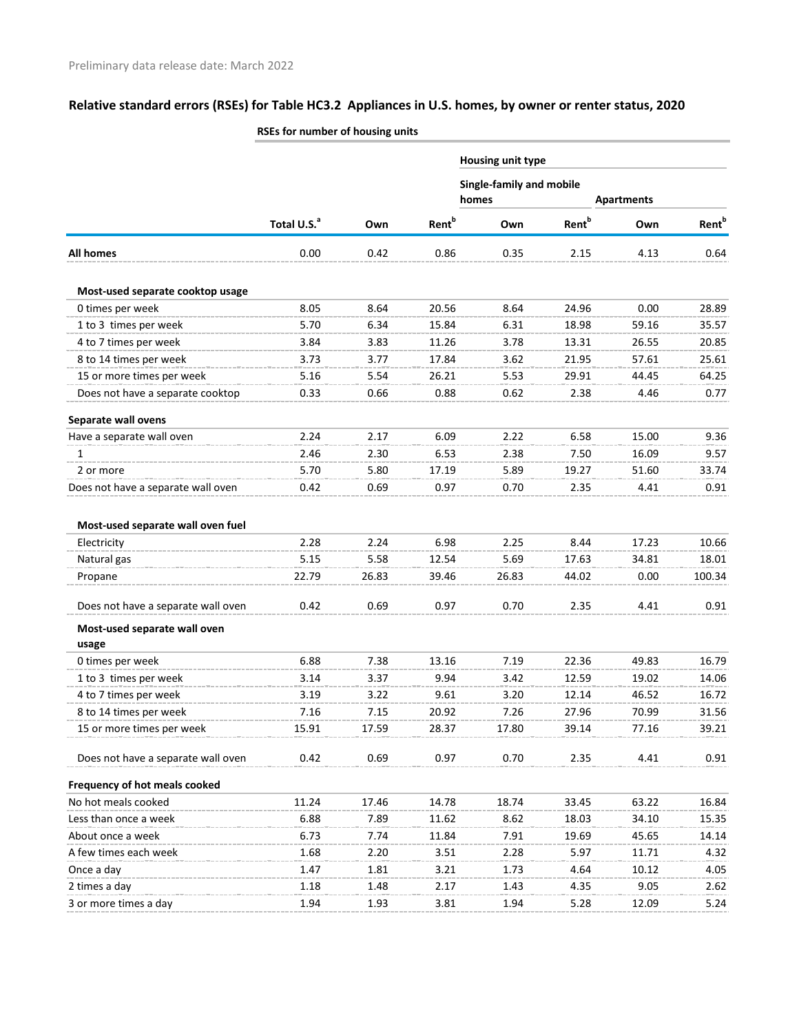|                                                  |                         |               |                          | Housing unit type                 |                          |                   |                   |
|--------------------------------------------------|-------------------------|---------------|--------------------------|-----------------------------------|--------------------------|-------------------|-------------------|
|                                                  |                         |               |                          | Single-family and mobile<br>homes |                          | <b>Apartments</b> |                   |
|                                                  |                         |               |                          |                                   |                          |                   |                   |
|                                                  | Total U.S. <sup>a</sup> | Own           | <b>Rent</b> <sup>b</sup> | Own                               | <b>Rent</b> <sup>b</sup> | Own               | Rent <sup>b</sup> |
| <b>All homes</b>                                 | 0.00                    | 0.42          | 0.86                     | 0.35                              | 2.15                     | 4.13              | 0.64              |
| Most-used separate cooktop usage                 |                         |               |                          |                                   |                          |                   |                   |
| 0 times per week                                 | 8.05                    | 8.64          | 20.56                    | 8.64                              | 24.96                    | 0.00              | 28.89             |
| 1 to 3 times per week                            | 5.70                    | 6.34          | 15.84                    | 6.31                              | 18.98                    | 59.16             | 35.57             |
| 4 to 7 times per week                            | 3.84                    | 3.83          | 11.26                    | 3.78                              | 13.31                    | 26.55             | 20.85             |
| 8 to 14 times per week                           | 3.73                    | 3.77          | 17.84                    | 3.62                              | 21.95                    | 57.61             | 25.61             |
| 15 or more times per week                        | 5.16                    | 5.54          | 26.21                    | 5.53                              | 29.91                    | 44.45             | 64.25             |
| Does not have a separate cooktop                 | 0.33                    | 0.66          | 0.88                     | 0.62                              | 2.38                     | 4.46              | 0.77              |
| Separate wall ovens                              |                         |               |                          |                                   |                          |                   |                   |
| Have a separate wall oven                        | 2.24                    | 2.17          | 6.09                     | 2.22                              | 6.58                     | 15.00             | 9.36              |
| 1                                                | 2.46                    | 2.30          | 6.53                     | 2.38                              | 7.50                     | 16.09             | 9.57              |
| 2 or more                                        | 5.70                    | 5.80          | 17.19                    | 5.89                              | 19.27                    | 51.60             | 33.74             |
| Does not have a separate wall oven               | 0.42                    | 0.69          | 0.97                     | 0.70                              | 2.35                     | 4.41              | 0.91              |
| Most-used separate wall oven fuel<br>Electricity | 2.28                    | 2.24          | 6.98                     | 2.25                              | 8.44                     | 17.23             | 10.66             |
|                                                  | 5.15                    |               |                          |                                   |                          |                   |                   |
| Natural gas<br>Propane                           | 22.79                   | 5.58<br>26.83 | 12.54<br>39.46           | 5.69<br>26.83                     | 17.63<br>44.02           | 34.81<br>0.00     | 18.01<br>100.34   |
|                                                  |                         |               |                          |                                   |                          |                   |                   |
| Does not have a separate wall oven               | 0.42                    | 0.69          | 0.97                     | 0.70                              | 2.35                     | 4.41              | 0.91              |
| Most-used separate wall oven<br>usage            |                         |               |                          |                                   |                          |                   |                   |
| 0 times per week                                 | 6.88                    | 7.38          | 13.16                    | 7.19                              | 22.36                    | 49.83             | 16.79             |
| 1 to 3 times per week                            | 3.14                    | 3.37          | 9.94                     | 3.42                              | 12.59                    | 19.02             | 14.06             |
| 4 to 7 times per week                            | 3.19                    | 3.22          | 9.61                     | 3.20                              | 12.14                    | 46.52             | 16.72             |
| 8 to 14 times per week                           | 7.16                    | 7.15          | 20.92                    | 7.26                              | 27.96                    | 70.99             | 31.56             |
| 15 or more times per week                        | 15.91                   | 17.59         | 28.37                    | 17.80                             | 39.14                    | 77.16             | 39.21             |
| Does not have a separate wall oven               | 0.42                    | 0.69          | 0.97                     | 0.70                              | 2.35                     | 4.41              | 0.91              |
| Frequency of hot meals cooked                    |                         |               |                          |                                   |                          |                   |                   |
| No hot meals cooked                              | 11.24                   | 17.46         | 14.78                    | 18.74                             | 33.45                    | 63.22             | 16.84             |
| Less than once a week                            | 6.88                    | 7.89          | 11.62                    | 8.62                              | 18.03                    | 34.10             | 15.35             |
| About once a week                                | 6.73                    | 7.74          | 11.84                    | 7.91                              | 19.69                    | 45.65             | 14.14             |
| A few times each week                            | 1.68                    | 2.20          | 3.51                     | 2.28                              | 5.97                     | 11.71             | 4.32              |
| Once a day                                       | 1.47                    | 1.81          | 3.21                     | 1.73                              | 4.64                     | 10.12             | 4.05              |
| 2 times a day                                    | 1.18                    | 1.48          | 2.17                     | 1.43                              | 4.35                     | 9.05              | 2.62              |
| 3 or more times a day                            | 1.94                    | 1.93          | 3.81                     | 1.94                              | 5.28                     | 12.09             | 5.24              |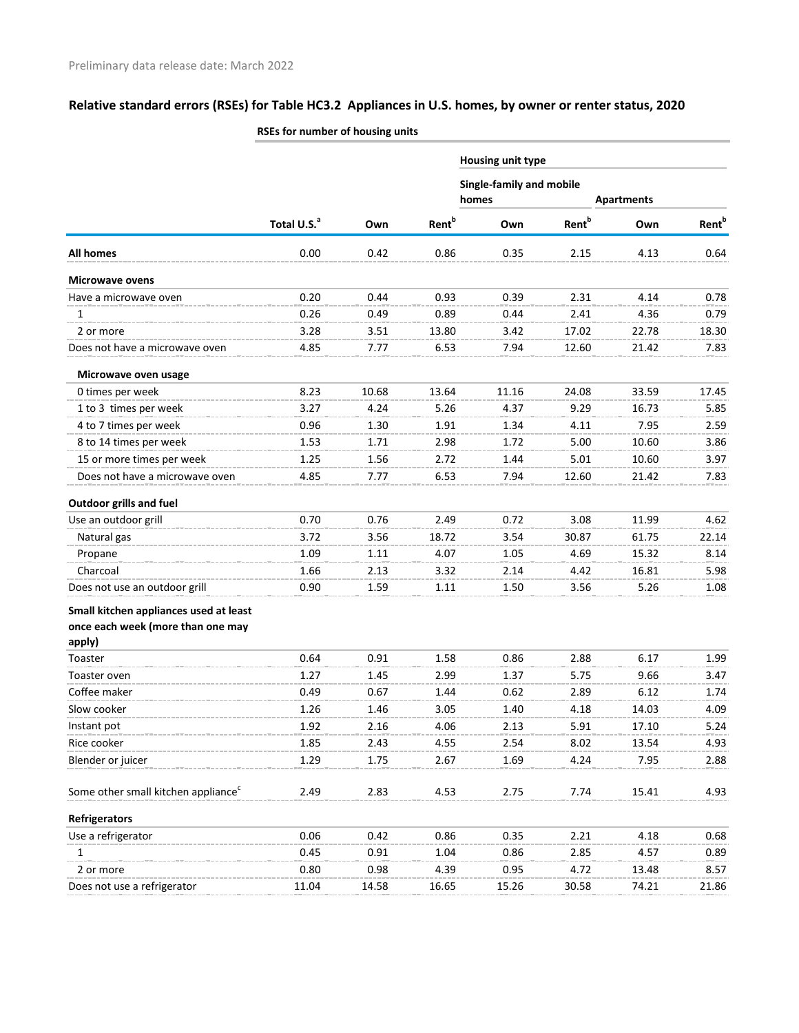|                                                 |                         |       |                          | Housing unit type        |                          |                   |                          |  |
|-------------------------------------------------|-------------------------|-------|--------------------------|--------------------------|--------------------------|-------------------|--------------------------|--|
|                                                 |                         |       |                          | Single-family and mobile |                          |                   |                          |  |
|                                                 |                         |       |                          | homes                    |                          | <b>Apartments</b> |                          |  |
|                                                 | Total U.S. <sup>a</sup> | Own   | <b>Rent</b> <sup>b</sup> | Own                      | <b>Rent</b> <sup>b</sup> | Own               | <b>Rent</b> <sup>b</sup> |  |
| <b>All homes</b>                                | 0.00                    | 0.42  | 0.86                     | 0.35                     | 2.15                     | 4.13              | 0.64                     |  |
| <b>Microwave ovens</b>                          |                         |       |                          |                          |                          |                   |                          |  |
| Have a microwave oven                           | 0.20                    | 0.44  | 0.93                     | 0.39                     | 2.31                     | 4.14              | 0.78                     |  |
| 1                                               | 0.26                    | 0.49  | 0.89                     | 0.44                     | 2.41                     | 4.36              | 0.79                     |  |
| 2 or more                                       | 3.28                    | 3.51  | 13.80                    | 3.42                     | 17.02                    | 22.78             | 18.30                    |  |
| Does not have a microwave oven                  | 4.85                    | 7.77  | 6.53                     | 7.94                     | 12.60                    | 21.42             | 7.83                     |  |
| Microwave oven usage                            |                         |       |                          |                          |                          |                   |                          |  |
| 0 times per week                                | 8.23                    | 10.68 | 13.64                    | 11.16                    | 24.08                    | 33.59             | 17.45                    |  |
| 1 to 3 times per week                           | 3.27                    | 4.24  | 5.26                     | 4.37                     | 9.29                     | 16.73             | 5.85                     |  |
| 4 to 7 times per week                           | 0.96                    | 1.30  | 1.91                     | 1.34                     | 4.11                     | 7.95              | 2.59                     |  |
| 8 to 14 times per week                          | 1.53                    | 1.71  | 2.98                     | 1.72                     | 5.00                     | 10.60             | 3.86                     |  |
| 15 or more times per week                       | 1.25                    | 1.56  | 2.72                     | 1.44                     | 5.01                     | 10.60             | 3.97                     |  |
| Does not have a microwave oven                  | 4.85                    | 7.77  | 6.53                     | 7.94                     | 12.60                    | 21.42             | 7.83                     |  |
| <b>Outdoor grills and fuel</b>                  |                         |       |                          |                          |                          |                   |                          |  |
| Use an outdoor grill                            | 0.70                    | 0.76  | 2.49                     | 0.72                     | 3.08                     | 11.99             | 4.62                     |  |
| Natural gas                                     | 3.72                    | 3.56  | 18.72                    | 3.54                     | 30.87                    | 61.75             | 22.14                    |  |
| Propane                                         | 1.09                    | 1.11  | 4.07                     | 1.05                     | 4.69                     | 15.32             | 8.14                     |  |
| Charcoal                                        | 1.66                    | 2.13  | 3.32                     | 2.14                     | 4.42                     | 16.81             | 5.98                     |  |
| Does not use an outdoor grill                   | 0.90                    | 1.59  | 1.11                     | 1.50                     | 3.56                     | 5.26              | 1.08                     |  |
| Small kitchen appliances used at least          |                         |       |                          |                          |                          |                   |                          |  |
| once each week (more than one may               |                         |       |                          |                          |                          |                   |                          |  |
| apply)                                          |                         |       |                          |                          |                          |                   |                          |  |
| Toaster                                         | 0.64                    | 0.91  | 1.58                     | 0.86                     | 2.88                     | 6.17              | 1.99                     |  |
| Toaster oven                                    | 1.27                    | 1.45  | 2.99                     | 1.37                     | 5.75                     | 9.66              | 3.47                     |  |
| Coffee maker                                    | 0.49                    | 0.67  | 1.44                     | 0.62                     | 2.89                     | 6.12              | 1.74                     |  |
| Slow cooker                                     | 1.26                    | 1.46  | 3.05                     | 1.40                     | 4.18                     | 14.03             | 4.09                     |  |
| Instant pot                                     | 1.92                    | 2.16  | 4.06                     | 2.13                     | 5.91                     | 17.10             | 5.24                     |  |
| Rice cooker                                     | 1.85                    | 2.43  | 4.55                     | 2.54                     | 8.02                     | 13.54             | 4.93                     |  |
| Blender or juicer                               | 1.29                    | 1.75  | 2.67                     | 1.69                     | 4.24                     | 7.95              | 2.88                     |  |
| Some other small kitchen appliance <sup>c</sup> | 2.49                    | 2.83  | 4.53                     | 2.75                     | 7.74                     | 15.41             | 4.93                     |  |
| <b>Refrigerators</b>                            |                         |       |                          |                          |                          |                   |                          |  |
| Use a refrigerator                              | 0.06                    | 0.42  | 0.86                     | 0.35                     | 2.21                     | 4.18              | 0.68                     |  |
| 1                                               | 0.45                    | 0.91  | 1.04                     | 0.86                     | 2.85                     | 4.57              | 0.89                     |  |
| 2 or more                                       | 0.80                    | 0.98  | 4.39                     | 0.95                     | 4.72                     | 13.48             | 8.57                     |  |
| Does not use a refrigerator                     | 11.04                   | 14.58 | 16.65                    | 15.26                    | 30.58                    | 74.21             | 21.86                    |  |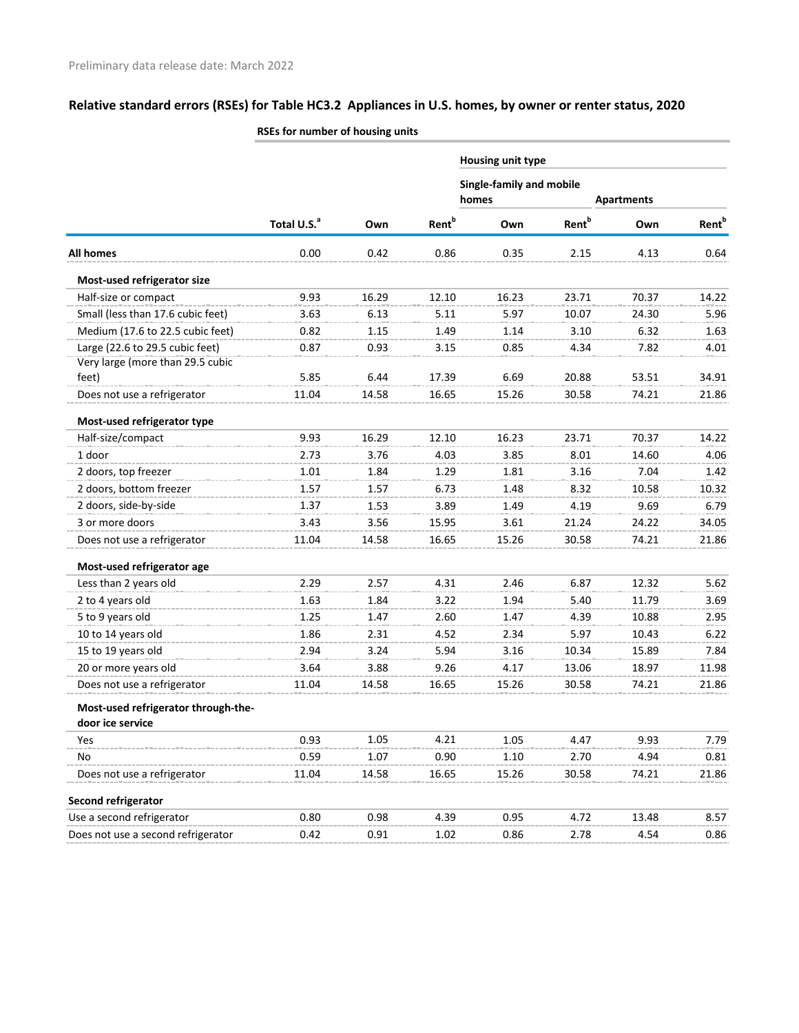|                                                         |                         |       |                          | <b>Housing unit type</b> |                          |                   |                          |
|---------------------------------------------------------|-------------------------|-------|--------------------------|--------------------------|--------------------------|-------------------|--------------------------|
|                                                         |                         |       |                          | Single-family and mobile |                          |                   |                          |
|                                                         |                         |       |                          | homes                    |                          | <b>Apartments</b> |                          |
|                                                         | Total U.S. <sup>a</sup> | Own   | <b>Rent</b> <sup>b</sup> | Own                      | <b>Rent</b> <sup>b</sup> | Own               | <b>Rent</b> <sup>b</sup> |
| <b>All homes</b>                                        | 0.00                    | 0.42  | 0.86                     | 0.35                     | 2.15                     | 4.13              | 0.64                     |
| Most-used refrigerator size                             |                         |       |                          |                          |                          |                   |                          |
| Half-size or compact                                    | 9.93                    | 16.29 | 12.10                    | 16.23                    | 23.71                    | 70.37             | 14.22                    |
| Small (less than 17.6 cubic feet)                       | 3.63                    | 6.13  | 5.11                     | 5.97                     | 10.07                    | 24.30             | 5.96                     |
| Medium (17.6 to 22.5 cubic feet)                        | 0.82                    | 1.15  | 1.49                     | 1.14                     | 3.10                     | 6.32              | 1.63                     |
| Large (22.6 to 29.5 cubic feet)                         | 0.87                    | 0.93  | 3.15                     | 0.85                     | 4.34                     | 7.82              | 4.01                     |
| Very large (more than 29.5 cubic                        |                         |       |                          |                          |                          |                   |                          |
| feet)                                                   | 5.85                    | 6.44  | 17.39                    | 6.69                     | 20.88                    | 53.51             | 34.91                    |
| Does not use a refrigerator                             | 11.04                   | 14.58 | 16.65                    | 15.26                    | 30.58                    | 74.21             | 21.86                    |
| Most-used refrigerator type                             |                         |       |                          |                          |                          |                   |                          |
| Half-size/compact                                       | 9.93                    | 16.29 | 12.10                    | 16.23                    | 23.71                    | 70.37             | 14.22                    |
| 1 door                                                  | 2.73                    | 3.76  | 4.03                     | 3.85                     | 8.01                     | 14.60             | 4.06                     |
| 2 doors, top freezer                                    | 1.01                    | 1.84  | 1.29                     | 1.81                     | 3.16                     | 7.04              | 1.42                     |
| 2 doors, bottom freezer                                 | 1.57                    | 1.57  | 6.73                     | 1.48                     | 8.32                     | 10.58             | 10.32                    |
| 2 doors, side-by-side                                   | 1.37                    | 1.53  | 3.89                     | 1.49                     | 4.19                     | 9.69              | 6.79                     |
| 3 or more doors                                         | 3.43                    | 3.56  | 15.95                    | 3.61                     | 21.24                    | 24.22             | 34.05                    |
| Does not use a refrigerator                             | 11.04                   | 14.58 | 16.65                    | 15.26                    | 30.58                    | 74.21             | 21.86                    |
| Most-used refrigerator age                              |                         |       |                          |                          |                          |                   |                          |
| Less than 2 years old                                   | 2.29                    | 2.57  | 4.31                     | 2.46                     | 6.87                     | 12.32             | 5.62                     |
| 2 to 4 years old                                        | 1.63                    | 1.84  | 3.22                     | 1.94                     | 5.40                     | 11.79             | 3.69                     |
| 5 to 9 years old                                        | 1.25                    | 1.47  | 2.60                     | 1.47                     | 4.39                     | 10.88             | 2.95                     |
| 10 to 14 years old                                      | 1.86                    | 2.31  | 4.52                     | 2.34                     | 5.97                     | 10.43             | 6.22                     |
| 15 to 19 years old                                      | 2.94                    | 3.24  | 5.94                     | 3.16                     | 10.34                    | 15.89             | 7.84                     |
| 20 or more years old                                    | 3.64                    | 3.88  | 9.26                     | 4.17                     | 13.06                    | 18.97             | 11.98                    |
| Does not use a refrigerator                             | 11.04                   | 14.58 | 16.65                    | 15.26                    | 30.58                    | 74.21             | 21.86                    |
| Most-used refrigerator through-the-<br>door ice service |                         |       |                          |                          |                          |                   |                          |
| Yes                                                     | 0.93                    | 1.05  | 4.21                     | 1.05                     | 4.47                     | 9.93              | 7.79                     |
| No                                                      | 0.59                    | 1.07  | 0.90                     | 1.10                     | 2.70                     | 4.94              | 0.81                     |
| Does not use a refrigerator                             | 11.04                   | 14.58 | 16.65                    | 15.26                    | 30.58                    | 74.21             | 21.86                    |
| Second refrigerator                                     |                         |       |                          |                          |                          |                   |                          |
| Use a second refrigerator                               | 0.80                    | 0.98  | 4.39                     | 0.95                     | 4.72                     | 13.48             | 8.57                     |
| Does not use a second refrigerator                      | 0.42                    | 0.91  | 1.02                     | 0.86                     | 2.78                     | 4.54              | 0.86                     |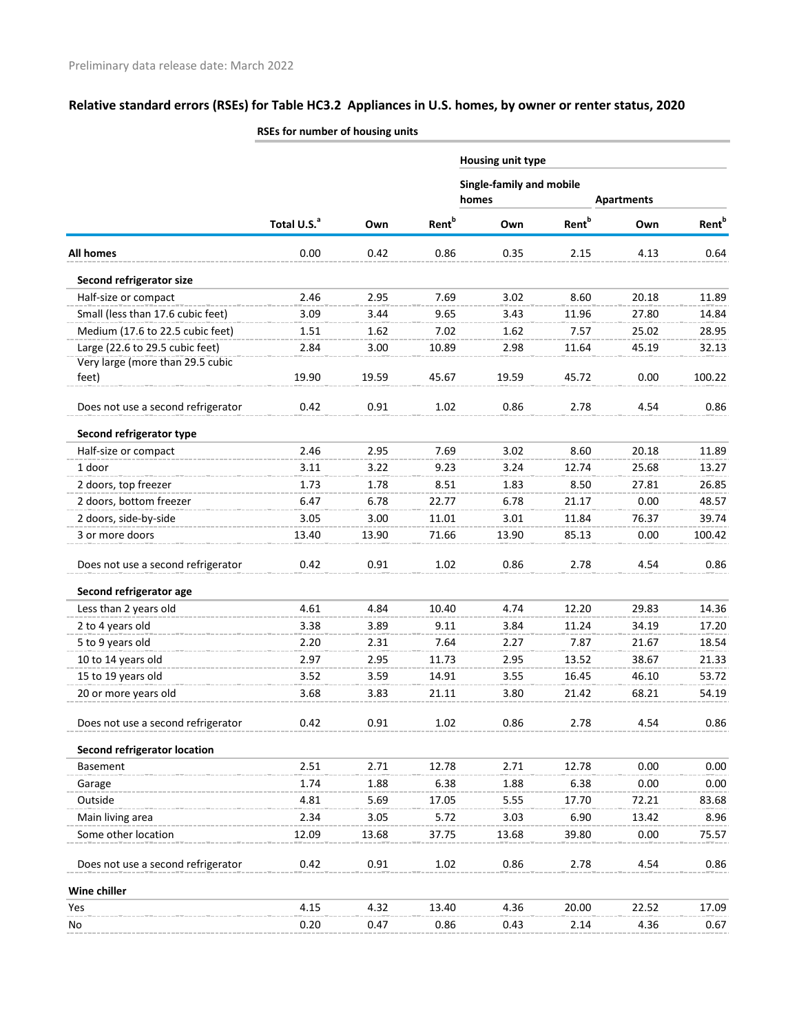|                                     |                         | <b>Housing unit type</b> |                   |                                   |                          |                   |                          |  |  |  |  |
|-------------------------------------|-------------------------|--------------------------|-------------------|-----------------------------------|--------------------------|-------------------|--------------------------|--|--|--|--|
|                                     |                         |                          |                   | Single-family and mobile<br>homes |                          | <b>Apartments</b> |                          |  |  |  |  |
|                                     | Total U.S. <sup>a</sup> | Own                      | Rent <sup>b</sup> | Own                               | <b>Rent</b> <sup>b</sup> | Own               | <b>Rent</b> <sup>b</sup> |  |  |  |  |
| <b>All homes</b>                    | 0.00                    | 0.42                     | 0.86              | 0.35                              | 2.15                     | 4.13              | 0.64                     |  |  |  |  |
| Second refrigerator size            |                         |                          |                   |                                   |                          |                   |                          |  |  |  |  |
| Half-size or compact                | 2.46                    | 2.95                     | 7.69              | 3.02                              | 8.60                     | 20.18             | 11.89                    |  |  |  |  |
| Small (less than 17.6 cubic feet)   | 3.09                    | 3.44                     | 9.65              | 3.43                              | 11.96                    | 27.80             | 14.84                    |  |  |  |  |
| Medium (17.6 to 22.5 cubic feet)    | 1.51                    | 1.62                     | 7.02              | 1.62                              | 7.57                     | 25.02             | 28.95                    |  |  |  |  |
| Large (22.6 to 29.5 cubic feet)     | 2.84                    | 3.00                     | 10.89             | 2.98                              | 11.64                    | 45.19             | 32.13                    |  |  |  |  |
| Very large (more than 29.5 cubic    |                         |                          |                   |                                   |                          |                   |                          |  |  |  |  |
| feet)                               | 19.90                   | 19.59                    | 45.67             | 19.59                             | 45.72                    | 0.00              | 100.22                   |  |  |  |  |
| Does not use a second refrigerator  | 0.42                    | 0.91                     | 1.02              | 0.86                              | 2.78                     | 4.54              | 0.86                     |  |  |  |  |
| Second refrigerator type            |                         |                          |                   |                                   |                          |                   |                          |  |  |  |  |
| Half-size or compact                | 2.46                    | 2.95                     | 7.69              | 3.02                              | 8.60                     | 20.18             | 11.89                    |  |  |  |  |
| 1 door                              | 3.11                    | 3.22                     | 9.23              | 3.24                              | 12.74                    | 25.68             | 13.27                    |  |  |  |  |
| 2 doors, top freezer                | 1.73                    | 1.78                     | 8.51              | 1.83                              | 8.50                     | 27.81             | 26.85                    |  |  |  |  |
| 2 doors, bottom freezer             | 6.47                    | 6.78                     | 22.77             | 6.78                              | 21.17                    | 0.00              | 48.57                    |  |  |  |  |
| 2 doors, side-by-side               | 3.05                    | 3.00                     | 11.01             | 3.01                              | 11.84                    | 76.37             | 39.74                    |  |  |  |  |
| 3 or more doors                     | 13.40                   | 13.90                    | 71.66             | 13.90                             | 85.13                    | 0.00              | 100.42                   |  |  |  |  |
| Does not use a second refrigerator  | 0.42                    | 0.91                     | 1.02              | 0.86                              | 2.78                     | 4.54              | 0.86                     |  |  |  |  |
| Second refrigerator age             |                         |                          |                   |                                   |                          |                   |                          |  |  |  |  |
| Less than 2 years old               | 4.61                    | 4.84                     | 10.40             | 4.74                              | 12.20                    | 29.83             | 14.36                    |  |  |  |  |
| 2 to 4 years old                    | 3.38                    | 3.89                     | 9.11              | 3.84                              | 11.24                    | 34.19             | 17.20                    |  |  |  |  |
| 5 to 9 years old                    | 2.20                    | 2.31                     | 7.64              | 2.27                              | 7.87                     | 21.67             | 18.54                    |  |  |  |  |
| 10 to 14 years old                  | 2.97                    | 2.95                     | 11.73             | 2.95                              | 13.52                    | 38.67             | 21.33                    |  |  |  |  |
| 15 to 19 years old                  | 3.52                    | 3.59                     | 14.91             | 3.55                              | 16.45                    | 46.10             | 53.72                    |  |  |  |  |
| 20 or more years old                | 3.68                    | 3.83                     | 21.11             | 3.80                              | 21.42                    | 68.21             | 54.19                    |  |  |  |  |
| Does not use a second refrigerator  | 0.42                    | 0.91                     | 1.02              | 0.86                              | 2.78                     | 4.54              | 0.86                     |  |  |  |  |
| <b>Second refrigerator location</b> |                         |                          |                   |                                   |                          |                   |                          |  |  |  |  |
| Basement                            | 2.51                    | 2.71                     | 12.78             | 2.71                              | 12.78                    | 0.00              | 0.00                     |  |  |  |  |
| Garage                              | 1.74                    | 1.88                     | 6.38              | 1.88                              | 6.38                     | 0.00              | 0.00                     |  |  |  |  |
| Outside                             | 4.81                    | 5.69                     | 17.05             | 5.55                              | 17.70                    | 72.21             | 83.68                    |  |  |  |  |
| Main living area                    | 2.34                    | 3.05                     | 5.72              | 3.03                              | 6.90                     | 13.42             | 8.96                     |  |  |  |  |
| Some other location                 | 12.09                   | 13.68                    | 37.75             | 13.68                             | 39.80                    | 0.00              | 75.57                    |  |  |  |  |
| Does not use a second refrigerator  | 0.42                    | 0.91                     | 1.02              | 0.86                              | 2.78                     | 4.54              | 0.86                     |  |  |  |  |
| Wine chiller                        |                         |                          |                   |                                   |                          |                   |                          |  |  |  |  |
| Yes                                 | 4.15                    | 4.32                     | 13.40             | 4.36                              | 20.00                    | 22.52             | 17.09                    |  |  |  |  |
| No                                  | 0.20                    | 0.47                     | 0.86              | 0.43                              | 2.14                     | 4.36              | 0.67                     |  |  |  |  |
|                                     |                         |                          |                   |                                   |                          |                   |                          |  |  |  |  |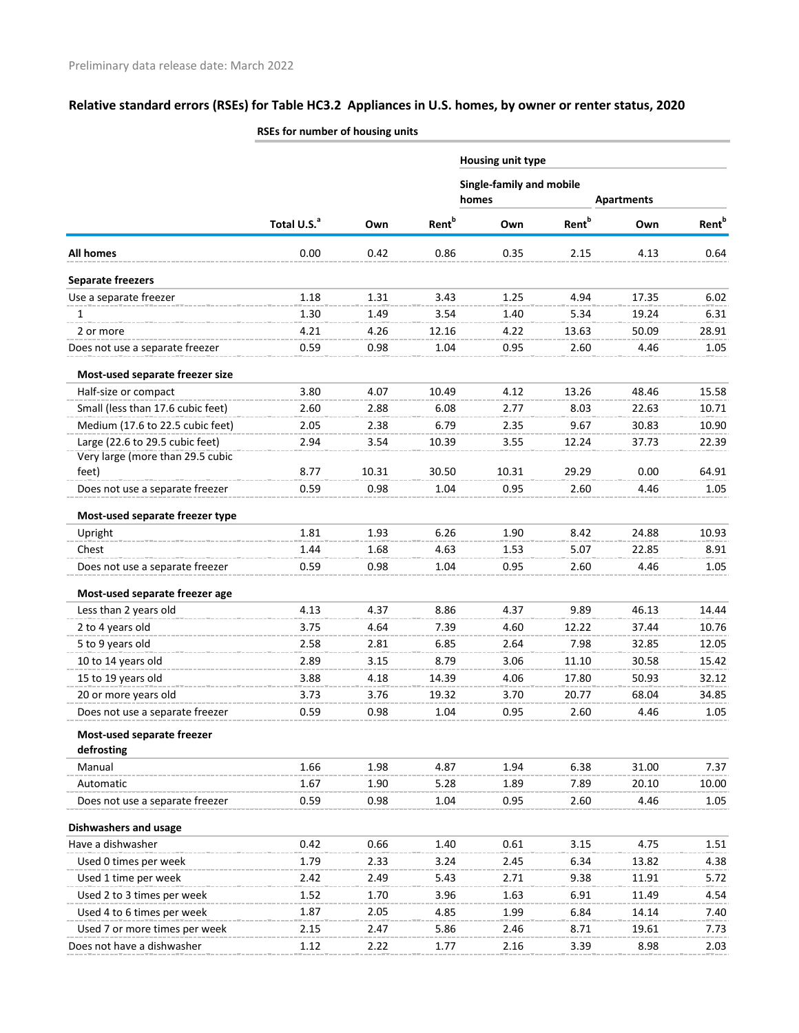|                                                   |                         | Housing unit type |                          |                                   |                          |                   |                          |  |  |  |  |
|---------------------------------------------------|-------------------------|-------------------|--------------------------|-----------------------------------|--------------------------|-------------------|--------------------------|--|--|--|--|
|                                                   |                         |                   |                          | Single-family and mobile<br>homes |                          | <b>Apartments</b> |                          |  |  |  |  |
|                                                   | Total U.S. <sup>a</sup> | Own               | <b>Rent</b> <sup>b</sup> | Own                               | <b>Rent</b> <sup>b</sup> | Own               | <b>Rent</b> <sup>b</sup> |  |  |  |  |
| <b>All homes</b>                                  | 0.00                    | 0.42              | 0.86                     | 0.35                              | 2.15                     | 4.13              | 0.64                     |  |  |  |  |
| <b>Separate freezers</b>                          |                         |                   |                          |                                   |                          |                   |                          |  |  |  |  |
| Use a separate freezer                            | 1.18                    | 1.31              | 3.43                     | 1.25                              | 4.94                     | 17.35             | 6.02                     |  |  |  |  |
| 1                                                 | 1.30                    | 1.49              | 3.54                     | 1.40                              | 5.34                     | 19.24             | 6.31                     |  |  |  |  |
| 2 or more                                         | 4.21                    | 4.26              | 12.16                    | 4.22                              | 13.63                    | 50.09             | 28.91                    |  |  |  |  |
| Does not use a separate freezer                   | 0.59                    | 0.98              | 1.04                     | 0.95                              | 2.60                     | 4.46              | 1.05                     |  |  |  |  |
| Most-used separate freezer size                   |                         |                   |                          |                                   |                          |                   |                          |  |  |  |  |
| Half-size or compact                              | 3.80                    | 4.07              | 10.49                    | 4.12                              | 13.26                    | 48.46             | 15.58                    |  |  |  |  |
| Small (less than 17.6 cubic feet)                 | 2.60                    | 2.88              | 6.08                     | 2.77                              | 8.03                     | 22.63             | 10.71                    |  |  |  |  |
| Medium (17.6 to 22.5 cubic feet)                  | 2.05                    | 2.38              | 6.79                     | 2.35                              | 9.67                     | 30.83             | 10.90                    |  |  |  |  |
| Large (22.6 to 29.5 cubic feet)                   | 2.94                    | 3.54              | 10.39                    | 3.55                              | 12.24                    | 37.73             | 22.39                    |  |  |  |  |
| Very large (more than 29.5 cubic                  |                         |                   |                          |                                   |                          |                   |                          |  |  |  |  |
| feet)                                             | 8.77                    | 10.31             | 30.50                    | 10.31                             | 29.29                    | 0.00              | 64.91                    |  |  |  |  |
| Does not use a separate freezer                   | 0.59                    | 0.98              | 1.04                     | 0.95                              | 2.60                     | 4.46              | 1.05                     |  |  |  |  |
| Most-used separate freezer type                   |                         |                   |                          |                                   |                          |                   |                          |  |  |  |  |
| Upright                                           | 1.81                    | 1.93              | 6.26                     | 1.90                              | 8.42                     | 24.88             | 10.93                    |  |  |  |  |
| Chest                                             | 1.44                    | 1.68              | 4.63                     | 1.53                              | 5.07                     | 22.85             | 8.91                     |  |  |  |  |
| Does not use a separate freezer                   | 0.59                    | 0.98              | 1.04                     | 0.95                              | 2.60                     | 4.46              | 1.05                     |  |  |  |  |
| Most-used separate freezer age                    |                         |                   |                          |                                   |                          |                   |                          |  |  |  |  |
| Less than 2 years old                             | 4.13                    | 4.37              | 8.86                     | 4.37                              | 9.89                     | 46.13             | 14.44                    |  |  |  |  |
| 2 to 4 years old                                  | 3.75                    | 4.64              | 7.39                     | 4.60                              | 12.22                    | 37.44             | 10.76                    |  |  |  |  |
| 5 to 9 years old                                  | 2.58                    | 2.81              | 6.85                     | 2.64                              | 7.98                     | 32.85             | 12.05                    |  |  |  |  |
| 10 to 14 years old                                | 2.89                    | 3.15              | 8.79                     | 3.06                              | 11.10                    | 30.58             | 15.42                    |  |  |  |  |
| 15 to 19 years old                                | 3.88                    | 4.18              | 14.39                    | 4.06                              | 17.80                    | 50.93             | 32.12                    |  |  |  |  |
| 20 or more years old                              | 3.73                    | 3.76              | 19.32                    | 3.70                              | 20.77                    | 68.04             | 34.85                    |  |  |  |  |
| Does not use a separate freezer                   | 0.59                    | 0.98              | 1.04                     | 0.95                              | 2.60                     | 4.46              | 1.05                     |  |  |  |  |
| Most-used separate freezer<br>defrosting          |                         |                   |                          |                                   |                          |                   |                          |  |  |  |  |
| Manual                                            | 1.66                    | 1.98              | 4.87                     | 1.94                              | 6.38                     | 31.00             | 7.37                     |  |  |  |  |
| Automatic                                         | 1.67                    | 1.90              | 5.28                     | 1.89                              | 7.89                     | 20.10             | 10.00                    |  |  |  |  |
| Does not use a separate freezer                   | 0.59                    | 0.98              | 1.04                     | 0.95                              | 2.60                     | 4.46              | 1.05                     |  |  |  |  |
|                                                   |                         |                   |                          |                                   |                          |                   |                          |  |  |  |  |
| <b>Dishwashers and usage</b><br>Have a dishwasher | 0.42                    | 0.66              | 1.40                     | 0.61                              | 3.15                     | 4.75              | 1.51                     |  |  |  |  |
| Used 0 times per week                             | 1.79                    | 2.33              | 3.24                     | 2.45                              | 6.34                     | 13.82             | 4.38                     |  |  |  |  |
| Used 1 time per week                              | 2.42                    | 2.49              | 5.43                     | 2.71                              | 9.38                     | 11.91             | 5.72                     |  |  |  |  |
| Used 2 to 3 times per week                        | 1.52                    | 1.70              | 3.96                     | 1.63                              | 6.91                     | 11.49             | 4.54                     |  |  |  |  |
| Used 4 to 6 times per week                        | 1.87                    | 2.05              | 4.85                     | 1.99                              | 6.84                     | 14.14             | 7.40                     |  |  |  |  |
| Used 7 or more times per week                     | 2.15                    | 2.47              | 5.86                     | 2.46                              | 8.71                     | 19.61             | 7.73                     |  |  |  |  |
| Does not have a dishwasher                        | 1.12                    | 2.22              | 1.77                     | 2.16                              | 3.39                     | 8.98              | 2.03                     |  |  |  |  |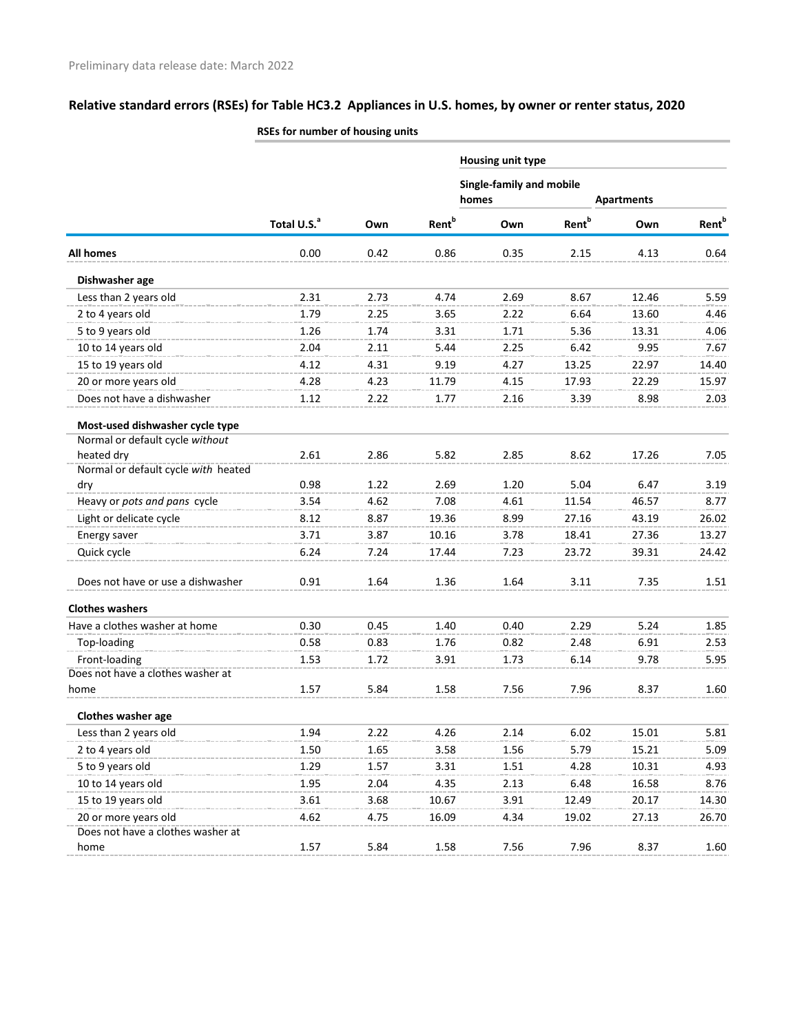|                                                   |                         |      |                          | Housing unit type        |                          |                   |                          |
|---------------------------------------------------|-------------------------|------|--------------------------|--------------------------|--------------------------|-------------------|--------------------------|
|                                                   |                         |      |                          | Single-family and mobile |                          |                   |                          |
|                                                   |                         |      |                          | homes                    |                          | <b>Apartments</b> |                          |
|                                                   | Total U.S. <sup>a</sup> | Own  | <b>Rent</b> <sup>b</sup> | Own                      | <b>Rent</b> <sup>b</sup> | Own               | <b>Rent</b> <sup>b</sup> |
| <b>All homes</b>                                  | 0.00                    | 0.42 | 0.86                     | 0.35                     | 2.15                     | 4.13              | 0.64                     |
| Dishwasher age                                    |                         |      |                          |                          |                          |                   |                          |
| Less than 2 years old                             | 2.31                    | 2.73 | 4.74                     | 2.69                     | 8.67                     | 12.46             | 5.59                     |
| 2 to 4 years old                                  | 1.79                    | 2.25 | 3.65                     | 2.22                     | 6.64                     | 13.60             | 4.46                     |
| 5 to 9 years old                                  | 1.26                    | 1.74 | 3.31                     | 1.71                     | 5.36                     | 13.31             | 4.06                     |
| 10 to 14 years old                                | 2.04                    | 2.11 | 5.44                     | 2.25                     | 6.42                     | 9.95              | 7.67                     |
| 15 to 19 years old                                | 4.12                    | 4.31 | 9.19                     | 4.27                     | 13.25                    | 22.97             | 14.40                    |
| 20 or more years old                              | 4.28                    | 4.23 | 11.79                    | 4.15                     | 17.93                    | 22.29             | 15.97                    |
| Does not have a dishwasher                        | 1.12                    | 2.22 | 1.77                     | 2.16                     | 3.39                     | 8.98              | 2.03                     |
| Most-used dishwasher cycle type                   |                         |      |                          |                          |                          |                   |                          |
| Normal or default cycle without                   |                         |      |                          |                          |                          |                   |                          |
| heated dry<br>Normal or default cycle with heated | 2.61                    | 2.86 | 5.82                     | 2.85                     | 8.62                     | 17.26             | 7.05                     |
| dry                                               | 0.98                    | 1.22 | 2.69                     | 1.20                     | 5.04                     | 6.47              | 3.19                     |
| Heavy or pots and pans cycle                      | 3.54                    | 4.62 | 7.08                     | 4.61                     | 11.54                    | 46.57             | 8.77                     |
| Light or delicate cycle                           | 8.12                    | 8.87 | 19.36                    | 8.99                     | 27.16                    | 43.19             | 26.02                    |
| Energy saver                                      | 3.71                    | 3.87 | 10.16                    | 3.78                     | 18.41                    | 27.36             | 13.27                    |
| Quick cycle                                       | 6.24                    | 7.24 | 17.44                    | 7.23                     | 23.72                    | 39.31             | 24.42                    |
|                                                   |                         |      |                          |                          |                          |                   |                          |
| Does not have or use a dishwasher                 | 0.91                    | 1.64 | 1.36                     | 1.64                     | 3.11                     | 7.35              | 1.51                     |
| <b>Clothes washers</b>                            |                         |      |                          |                          |                          |                   |                          |
| Have a clothes washer at home                     | 0.30                    | 0.45 | 1.40                     | 0.40                     | 2.29                     | 5.24              | 1.85                     |
| Top-loading                                       | 0.58                    | 0.83 | 1.76                     | 0.82                     | 2.48                     | 6.91              | 2.53                     |
| Front-loading                                     | 1.53                    | 1.72 | 3.91                     | 1.73                     | 6.14                     | 9.78              | 5.95                     |
| Does not have a clothes washer at                 |                         |      |                          |                          |                          |                   |                          |
| home                                              | 1.57                    | 5.84 | 1.58                     | 7.56                     | 7.96                     | 8.37              | 1.60                     |
| Clothes washer age                                |                         |      |                          |                          |                          |                   |                          |
| Less than 2 years old                             | 1.94                    | 2.22 | 4.26                     | 2.14                     | 6.02                     | 15.01             | 5.81                     |
| 2 to 4 years old                                  | 1.50                    | 1.65 | 3.58                     | 1.56                     | 5.79                     | 15.21             | 5.09                     |
| 5 to 9 years old                                  | 1.29                    | 1.57 | 3.31                     | 1.51                     | 4.28                     | 10.31             | 4.93                     |
| 10 to 14 years old                                | 1.95                    | 2.04 | 4.35                     | 2.13                     | 6.48                     | 16.58             | 8.76                     |
| 15 to 19 years old                                | 3.61                    | 3.68 | 10.67                    | 3.91                     | 12.49                    | 20.17             | 14.30                    |
| 20 or more years old                              | 4.62                    | 4.75 | 16.09                    | 4.34                     | 19.02                    | 27.13             | 26.70                    |
| Does not have a clothes washer at                 |                         |      |                          |                          |                          |                   |                          |
| home                                              | 1.57                    | 5.84 | 1.58                     | 7.56                     | 7.96                     | 8.37              | 1.60                     |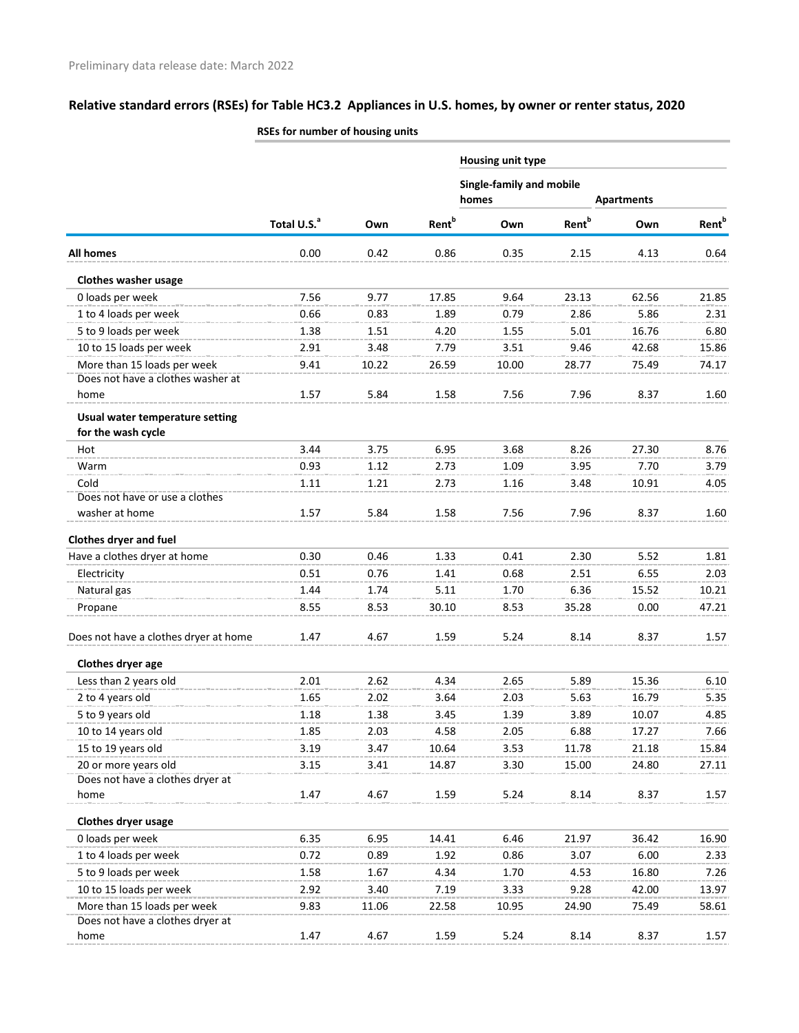|                                                       |                         |       |                          | Housing unit type                 |                          |                   |                          |
|-------------------------------------------------------|-------------------------|-------|--------------------------|-----------------------------------|--------------------------|-------------------|--------------------------|
|                                                       |                         |       |                          | Single-family and mobile<br>homes |                          | <b>Apartments</b> |                          |
|                                                       | Total U.S. <sup>a</sup> | Own   | <b>Rent</b> <sup>b</sup> | Own                               | <b>Rent</b> <sup>b</sup> | Own               | <b>Rent</b> <sup>b</sup> |
| <b>All homes</b>                                      | 0.00                    | 0.42  | 0.86                     | 0.35                              | 2.15                     | 4.13              | 0.64                     |
| <b>Clothes washer usage</b>                           |                         |       |                          |                                   |                          |                   |                          |
| 0 loads per week                                      | 7.56                    | 9.77  | 17.85                    | 9.64                              | 23.13                    | 62.56             | 21.85                    |
| 1 to 4 loads per week                                 | 0.66                    | 0.83  | 1.89                     | 0.79                              | 2.86                     | 5.86              | 2.31                     |
| 5 to 9 loads per week                                 | 1.38                    | 1.51  | 4.20                     | 1.55                              | 5.01                     | 16.76             | 6.80                     |
| 10 to 15 loads per week                               | 2.91                    | 3.48  | 7.79                     | 3.51                              | 9.46                     | 42.68             | 15.86                    |
| More than 15 loads per week                           | 9.41                    | 10.22 | 26.59                    | 10.00                             | 28.77                    | 75.49             | 74.17                    |
| Does not have a clothes washer at                     |                         |       |                          |                                   |                          |                   |                          |
| home                                                  | 1.57                    | 5.84  | 1.58                     | 7.56                              | 7.96                     | 8.37              | 1.60                     |
| Usual water temperature setting<br>for the wash cycle |                         |       |                          |                                   |                          |                   |                          |
| Hot                                                   | 3.44                    | 3.75  | 6.95                     | 3.68                              | 8.26                     | 27.30             | 8.76                     |
| Warm                                                  | 0.93                    | 1.12  | 2.73                     | 1.09                              | 3.95                     | 7.70              | 3.79                     |
| Cold                                                  | 1.11                    | 1.21  | 2.73                     | 1.16                              | 3.48                     | 10.91             | 4.05                     |
| Does not have or use a clothes                        |                         |       |                          |                                   |                          |                   |                          |
| washer at home                                        | 1.57                    | 5.84  | 1.58                     | 7.56                              | 7.96                     | 8.37              | 1.60                     |
| <b>Clothes dryer and fuel</b>                         |                         |       |                          |                                   |                          |                   |                          |
| Have a clothes dryer at home                          | 0.30                    | 0.46  | 1.33                     | 0.41                              | 2.30                     | 5.52              | 1.81                     |
| Electricity                                           | 0.51                    | 0.76  | 1.41                     | 0.68                              | 2.51                     | 6.55              | 2.03                     |
| Natural gas                                           | 1.44                    | 1.74  | 5.11                     | 1.70                              | 6.36                     | 15.52             | 10.21                    |
| Propane                                               | 8.55                    | 8.53  | 30.10                    | 8.53                              | 35.28                    | 0.00              | 47.21                    |
| Does not have a clothes dryer at home                 | 1.47                    | 4.67  | 1.59                     | 5.24                              | 8.14                     | 8.37              | 1.57                     |
| Clothes dryer age                                     |                         |       |                          |                                   |                          |                   |                          |
| Less than 2 years old                                 | 2.01                    | 2.62  | 4.34                     | 2.65                              | 5.89                     | 15.36             | 6.10                     |
| 2 to 4 years old                                      | 1.65                    | 2.02  | 3.64                     | 2.03                              | 5.63                     | 16.79             | 5.35                     |
| 5 to 9 years old                                      | 1.18                    | 1.38  | 3.45                     | 1.39                              | 3.89                     | 10.07             | 4.85                     |
| 10 to 14 years old                                    | 1.85                    | 2.03  | 4.58                     | 2.05                              | 6.88                     | 17.27             | 7.66                     |
| 15 to 19 years old                                    | 3.19                    | 3.47  | 10.64                    | 3.53                              | 11.78                    | 21.18             | 15.84                    |
| 20 or more years old                                  | 3.15                    | 3.41  | 14.87                    | 3.30                              | 15.00                    | 24.80             | 27.11                    |
| Does not have a clothes dryer at                      |                         |       |                          |                                   |                          |                   |                          |
| home                                                  | 1.47                    | 4.67  | 1.59                     | 5.24                              | 8.14                     | 8.37              | 1.57                     |
| <b>Clothes dryer usage</b>                            |                         |       |                          |                                   |                          |                   |                          |
| 0 loads per week                                      | 6.35                    | 6.95  | 14.41                    | 6.46                              | 21.97                    | 36.42             | 16.90                    |
| 1 to 4 loads per week                                 | 0.72                    | 0.89  | 1.92                     | 0.86                              | 3.07                     | 6.00              | 2.33                     |
| 5 to 9 loads per week                                 | 1.58                    | 1.67  | 4.34                     | 1.70                              | 4.53                     | 16.80             | 7.26                     |
| 10 to 15 loads per week                               | 2.92                    | 3.40  | 7.19                     | 3.33                              | 9.28                     | 42.00             | 13.97                    |
| More than 15 loads per week                           | 9.83                    | 11.06 | 22.58                    | 10.95                             | 24.90                    | 75.49             | 58.61                    |
| Does not have a clothes dryer at                      |                         |       |                          |                                   |                          |                   |                          |
| home                                                  | 1.47                    | 4.67  | 1.59                     | 5.24                              | 8.14                     | 8.37              | 1.57                     |